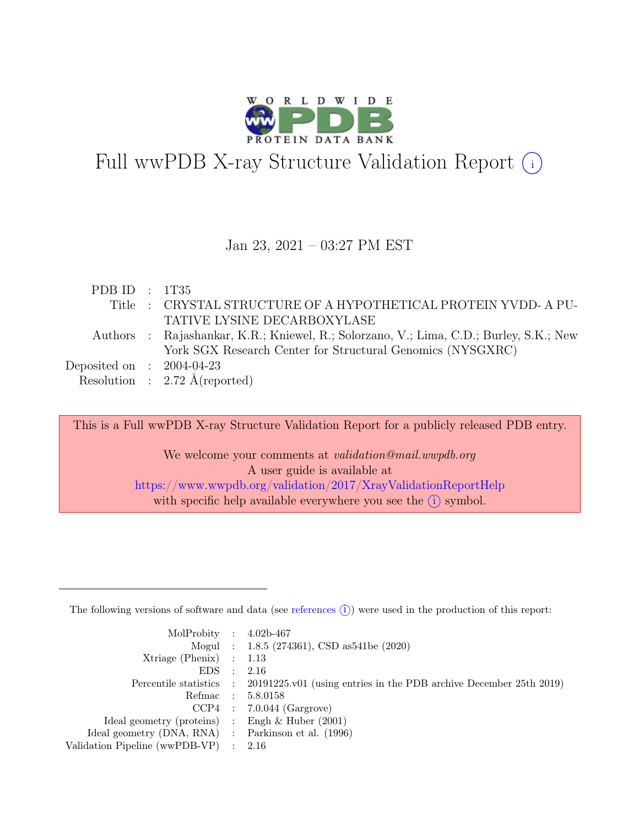

# Full wwPDB X-ray Structure Validation Report  $\bigcirc$

#### Jan 23, 2021 – 03:27 PM EST

| PDB ID : $1T35$             |                                                                                        |
|-----------------------------|----------------------------------------------------------------------------------------|
|                             | Title : CRYSTAL STRUCTURE OF A HYPOTHETICAL PROTEIN YVDD-A PU-                         |
|                             | TATIVE LYSINE DECARBOXYLASE                                                            |
|                             | Authors : Rajashankar, K.R.; Kniewel, R.; Solorzano, V.; Lima, C.D.; Burley, S.K.; New |
|                             | York SGX Research Center for Structural Genomics (NYSGXRC)                             |
| Deposited on : $2004-04-23$ |                                                                                        |
|                             | Resolution : $2.72 \text{ Å}$ (reported)                                               |
|                             |                                                                                        |

This is a Full wwPDB X-ray Structure Validation Report for a publicly released PDB entry.

We welcome your comments at validation@mail.wwpdb.org A user guide is available at <https://www.wwpdb.org/validation/2017/XrayValidationReportHelp> with specific help available everywhere you see the  $(i)$  symbol.

The following versions of software and data (see [references](https://www.wwpdb.org/validation/2017/XrayValidationReportHelp#references)  $(i)$ ) were used in the production of this report:

| MolProbity : $4.02b-467$                            |           |                                                                                            |
|-----------------------------------------------------|-----------|--------------------------------------------------------------------------------------------|
|                                                     |           | Mogul : 1.8.5 (274361), CSD as 541be (2020)                                                |
| Xtriage (Phenix) $: 1.13$                           |           |                                                                                            |
| EDS                                                 | $\cdot$ : | 2.16                                                                                       |
|                                                     |           | Percentile statistics : 20191225.v01 (using entries in the PDB archive December 25th 2019) |
|                                                     |           | Refmac : 5.8.0158                                                                          |
|                                                     |           | $CCP4$ : 7.0.044 (Gargrove)                                                                |
| Ideal geometry (proteins) : Engh $\&$ Huber (2001)  |           |                                                                                            |
| Ideal geometry (DNA, RNA) : Parkinson et al. (1996) |           |                                                                                            |
| Validation Pipeline (wwPDB-VP) : $2.16$             |           |                                                                                            |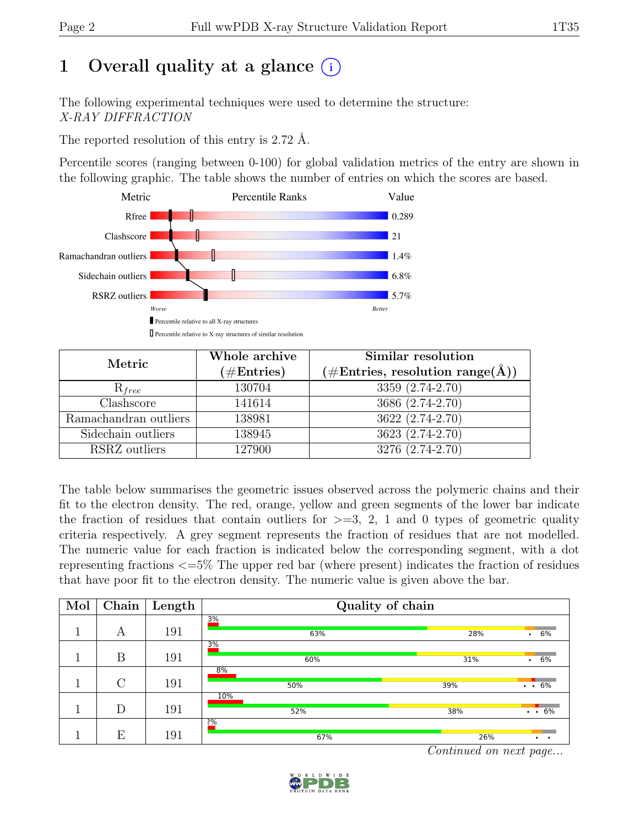# 1 Overall quality at a glance  $(i)$

The following experimental techniques were used to determine the structure: X-RAY DIFFRACTION

The reported resolution of this entry is 2.72 Å.

Percentile scores (ranging between 0-100) for global validation metrics of the entry are shown in the following graphic. The table shows the number of entries on which the scores are based.



| Metric                | Whole archive<br>$(\#Entries)$ | Similar resolution<br>$(\# \text{Entries}, \text{ resolution } \text{range}(\AA))$ |
|-----------------------|--------------------------------|------------------------------------------------------------------------------------|
| $R_{free}$            | 130704                         | 3359 (2.74-2.70)                                                                   |
| Clashscore            | 141614                         | 3686 (2.74-2.70)                                                                   |
| Ramachandran outliers | 138981                         | $3622 (2.74 - 2.70)$                                                               |
| Sidechain outliers    | 138945                         | 3623 (2.74-2.70)                                                                   |
| RSRZ outliers         | 127900                         | 3276 (2.74-2.70)                                                                   |

The table below summarises the geometric issues observed across the polymeric chains and their fit to the electron density. The red, orange, yellow and green segments of the lower bar indicate the fraction of residues that contain outliers for  $\geq$ =3, 2, 1 and 0 types of geometric quality criteria respectively. A grey segment represents the fraction of residues that are not modelled. The numeric value for each fraction is indicated below the corresponding segment, with a dot representing fractions <=5% The upper red bar (where present) indicates the fraction of residues that have poor fit to the electron density. The numeric value is given above the bar.

| Mol | $\overline{\text{Chain}}$ | Length | Quality of chain |                                   |  |  |  |
|-----|---------------------------|--------|------------------|-----------------------------------|--|--|--|
|     | А                         | 191    | 3%<br>63%        | 28%<br>. 6%                       |  |  |  |
|     | B                         | 191    | 3%<br>60%        | 6%<br>31%                         |  |  |  |
|     | $\mathcal{C}$             | 191    | 8%<br>50%        | 39%<br>$\cdot \cdot 6\%$          |  |  |  |
|     | D                         | 191    | 10%<br>52%       | $\cdot$ $\cdot$ 6%<br>38%         |  |  |  |
|     | E                         | 191    | 2%<br>67%        | 26%<br>$\bullet$<br>$\sim$ $\sim$ |  |  |  |

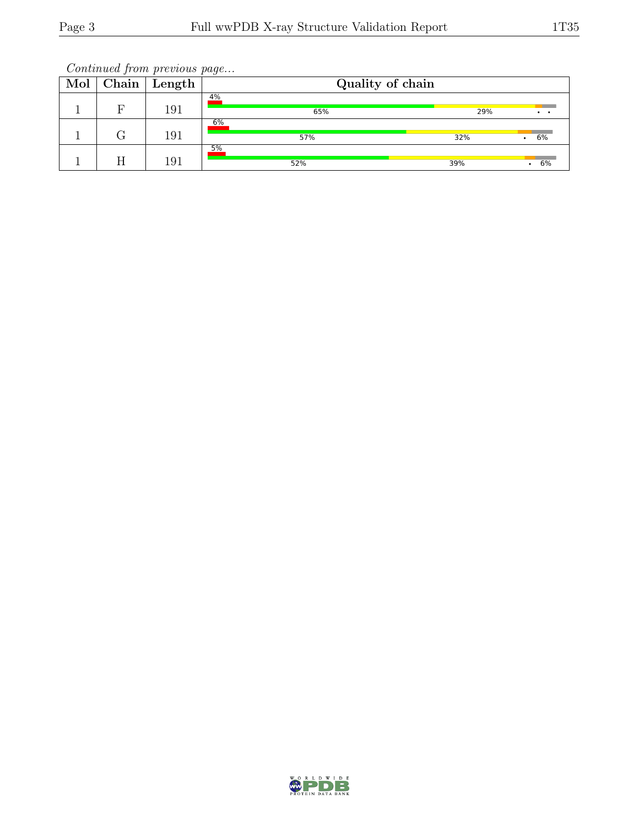| Mol | Chain | Length | Quality of chain |     |    |  |  |  |
|-----|-------|--------|------------------|-----|----|--|--|--|
|     | Е     | 191    | 4%<br>65%        | 29% |    |  |  |  |
|     |       | 191    | 6%<br>57%        | 32% | 6% |  |  |  |
|     |       | 191    | 5%<br>52%        | 39% | 6% |  |  |  |

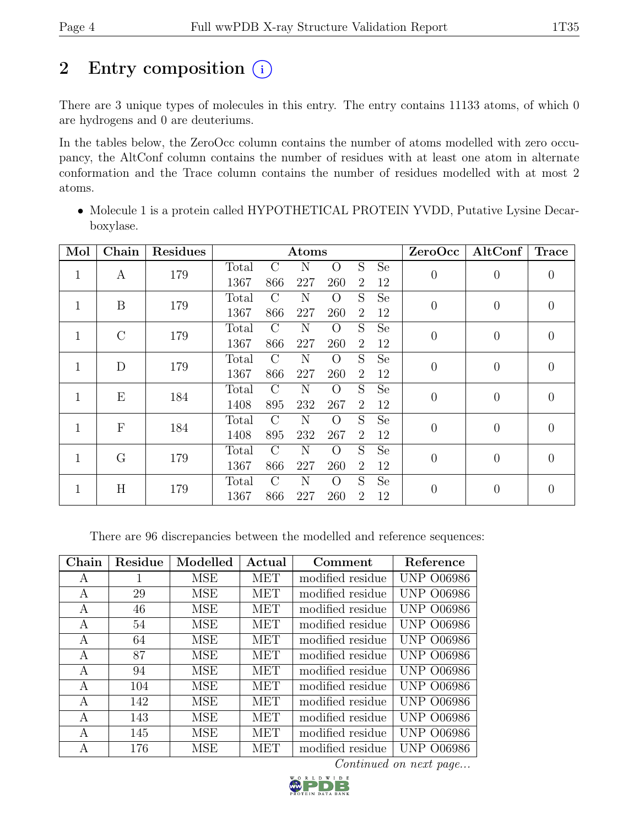# 2 Entry composition  $(i)$

There are 3 unique types of molecules in this entry. The entry contains 11133 atoms, of which 0 are hydrogens and 0 are deuteriums.

In the tables below, the ZeroOcc column contains the number of atoms modelled with zero occupancy, the AltConf column contains the number of residues with at least one atom in alternate conformation and the Trace column contains the number of residues modelled with at most 2 atoms.

• Molecule 1 is a protein called HYPOTHETICAL PROTEIN YVDD, Putative Lysine Decarboxylase.

| Mol          | Chain        | <b>Residues</b> | Atoms |               |     |          |                | ZeroOcc   | AltConf          | <b>Trace</b>   |                |
|--------------|--------------|-----------------|-------|---------------|-----|----------|----------------|-----------|------------------|----------------|----------------|
| $\mathbf{1}$ | A            | 179             | Total | $\rm C$       | N   | $\Omega$ | S              | <b>Se</b> | $\overline{0}$   | $\overline{0}$ | $\overline{0}$ |
|              |              |                 | 1367  | 866           | 227 | 260      | 2              | 12        |                  |                |                |
| $\mathbf{1}$ | B            | 179             | Total | $\mathcal{C}$ | N   | $\rm{O}$ | S              | <b>Se</b> | $\boldsymbol{0}$ | $\overline{0}$ | $\overline{0}$ |
|              |              |                 | 1367  | 866           | 227 | 260      | $\overline{2}$ | 12        |                  |                |                |
| $\mathbf{1}$ | $\rm C$      | 179             | Total | $\mathcal{C}$ | N   | $\Omega$ | S              | <b>Se</b> | $\overline{0}$   | $\overline{0}$ | $\overline{0}$ |
|              |              |                 | 1367  | 866           | 227 | 260      | $\overline{2}$ | 12        |                  |                |                |
| $\mathbf{1}$ | D            | 179             | Total | $\mathcal{C}$ | N   | О        | S              | <b>Se</b> | $\overline{0}$   | $\overline{0}$ | $\overline{0}$ |
|              |              |                 | 1367  | 866           | 227 | 260      | 2              | 12        |                  |                |                |
| $\mathbf{1}$ | E            | 184             | Total | $\mathcal{C}$ | N   | $\Omega$ | S              | <b>Se</b> | $\overline{0}$   | $\overline{0}$ | $\overline{0}$ |
|              |              |                 | 1408  | 895           | 232 | 267      | $\overline{2}$ | 12        |                  |                |                |
| $\mathbf{1}$ | $\mathbf{F}$ | 184             | Total | $\mathcal{C}$ | N   | $\Omega$ | S              | <b>Se</b> | $\boldsymbol{0}$ | $\overline{0}$ | $\overline{0}$ |
|              |              |                 | 1408  | 895           | 232 | 267      | 2              | 12        |                  |                |                |
| $\mathbf{1}$ | G            | 179             | Total | $\rm C$       | N   | $\Omega$ | S              | <b>Se</b> | $\overline{0}$   | $\overline{0}$ | $\overline{0}$ |
|              |              |                 | 1367  | 866           | 227 | 260      | $\overline{2}$ | 12        |                  |                |                |
| 1            | H            | 179             | Total | $\mathcal{C}$ | N   | $\Omega$ | S              | <b>Se</b> | $\overline{0}$   | $\theta$       | $\theta$       |
|              |              |                 | 1367  | 866           | 227 | 260      | $\overline{2}$ | 12        |                  |                |                |

There are 96 discrepancies between the modelled and reference sequences:

| Chain | Residue | Modelled   | Actual     | Comment          | Reference         |
|-------|---------|------------|------------|------------------|-------------------|
| A     | 1       | <b>MSE</b> | <b>MET</b> | modified residue | <b>UNP 006986</b> |
| A     | 29      | MSE        | <b>MET</b> | modified residue | <b>UNP 006986</b> |
| A     | 46      | <b>MSE</b> | <b>MET</b> | modified residue | <b>UNP 006986</b> |
| A     | 54      | <b>MSE</b> | <b>MET</b> | modified residue | <b>UNP 006986</b> |
| A     | 64      | <b>MSE</b> | <b>MET</b> | modified residue | <b>UNP 006986</b> |
| А     | 87      | <b>MSE</b> | <b>MET</b> | modified residue | <b>UNP 006986</b> |
| A     | 94      | <b>MSE</b> | <b>MET</b> | modified residue | <b>UNP 006986</b> |
| А     | 104     | MSE        | <b>MET</b> | modified residue | <b>UNP 006986</b> |
| A     | 142     | MSE        | <b>MET</b> | modified residue | <b>UNP 006986</b> |
| А     | 143     | <b>MSE</b> | <b>MET</b> | modified residue | <b>UNP 006986</b> |
| A     | 145     | <b>MSE</b> | <b>MET</b> | modified residue | <b>UNP 006986</b> |
| А     | 176     | <b>MSE</b> | MET        | modified residue | UNP.<br>O06986    |

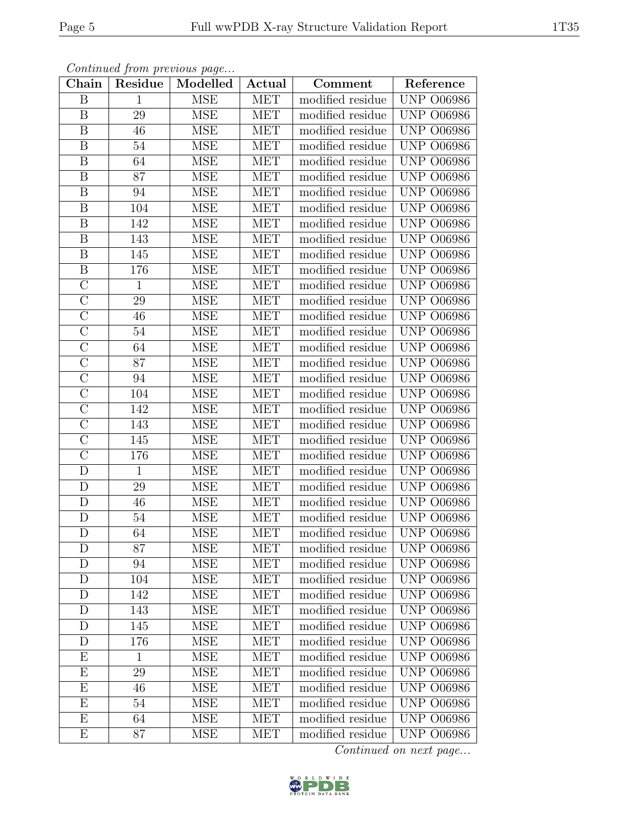| Chain                   | Residue      | Modelled   | Actual     | Comment          | Reference         |
|-------------------------|--------------|------------|------------|------------------|-------------------|
| B                       | $\mathbf{1}$ | <b>MSE</b> | <b>MET</b> | modified residue | <b>UNP 006986</b> |
| B                       | 29           | <b>MSE</b> | <b>MET</b> | modified residue | <b>UNP 006986</b> |
| $\boldsymbol{B}$        | 46           | <b>MSE</b> | <b>MET</b> | modified residue | <b>UNP 006986</b> |
| $\boldsymbol{B}$        | $54\,$       | MSE        | MET        | modified residue | <b>UNP 006986</b> |
| $\, {\bf B}$            | 64           | <b>MSE</b> | MET        | modified residue | <b>UNP 006986</b> |
| B                       | 87           | <b>MSE</b> | MET        | modified residue | <b>UNP 006986</b> |
| $\boldsymbol{B}$        | 94           | <b>MSE</b> | <b>MET</b> | modified residue | <b>UNP 006986</b> |
| $\overline{B}$          | 104          | <b>MSE</b> | <b>MET</b> | modified residue | <b>UNP 006986</b> |
| $\boldsymbol{B}$        | 142          | <b>MSE</b> | MET        | modified residue | <b>UNP 006986</b> |
| $\overline{\mathrm{B}}$ | 143          | <b>MSE</b> | <b>MET</b> | modified residue | <b>UNP 006986</b> |
| $\boldsymbol{B}$        | 145          | <b>MSE</b> | <b>MET</b> | modified residue | <b>UNP 006986</b> |
| $\overline{\mathrm{B}}$ | 176          | <b>MSE</b> | <b>MET</b> | modified residue | <b>UNP 006986</b> |
| $\overline{C}$          | $\mathbf{1}$ | <b>MSE</b> | <b>MET</b> | modified residue | <b>UNP 006986</b> |
| $\overline{C}$          | $29\,$       | <b>MSE</b> | <b>MET</b> | modified residue | <b>UNP 006986</b> |
| $\overline{\rm C}$      | 46           | <b>MSE</b> | <b>MET</b> | modified residue | <b>UNP 006986</b> |
| $\overline{C}$          | $54\,$       | <b>MSE</b> | <b>MET</b> | modified residue | <b>UNP 006986</b> |
| $\overline{\rm C}$      | 64           | <b>MSE</b> | MET        | modified residue | <b>UNP 006986</b> |
| $\mathcal{C}$           | 87           | <b>MSE</b> | <b>MET</b> | modified residue | <b>UNP O06986</b> |
| $\overline{C}$          | 94           | <b>MSE</b> | <b>MET</b> | modified residue | <b>UNP 006986</b> |
| $\overline{C}$          | 104          | <b>MSE</b> | <b>MET</b> | modified residue | <b>UNP 006986</b> |
| $\overline{C}$          | 142          | <b>MSE</b> | MET        | modified residue | <b>UNP 006986</b> |
| $\overline{\rm C}$      | 143          | MSE        | MET        | modified residue | <b>UNP 006986</b> |
| $\mathcal{C}$           | 145          | <b>MSE</b> | MET        | modified residue | <b>UNP 006986</b> |
| $\overline{\rm C}$      | 176          | <b>MSE</b> | MET        | modified residue | <b>UNP 006986</b> |
| D                       | $\mathbf{1}$ | <b>MSE</b> | MET        | modified residue | <b>UNP 006986</b> |
| D                       | 29           | <b>MSE</b> | MET        | modified residue | <b>UNP 006986</b> |
| $\mathbf D$             | 46           | <b>MSE</b> | <b>MET</b> | modified residue | <b>UNP 006986</b> |
| D                       | $54\,$       | <b>MSE</b> | <b>MET</b> | modified residue | <b>UNP 006986</b> |
| $\mathbf{D}$            | 64           | <b>MSE</b> | <b>MET</b> | modified residue | <b>UNP 006986</b> |
| $\mathbf D$             | 87           | <b>MSE</b> | <b>MET</b> | modified residue | <b>UNP 006986</b> |
| D                       | 94           | <b>MSE</b> | <b>MET</b> | modified residue | <b>UNP 006986</b> |
| D                       | 104          | <b>MSE</b> | <b>MET</b> | modified residue | <b>UNP 006986</b> |
| D                       | 142          | <b>MSE</b> | <b>MET</b> | modified residue | <b>UNP 006986</b> |
| D                       | 143          | <b>MSE</b> | <b>MET</b> | modified residue | <b>UNP 006986</b> |
| D                       | 145          | <b>MSE</b> | MET        | modified residue | <b>UNP 006986</b> |
| D                       | 176          | <b>MSE</b> | <b>MET</b> | modified residue | <b>UNP 006986</b> |
| E                       | $\mathbf{1}$ | <b>MSE</b> | <b>MET</b> | modified residue | <b>UNP 006986</b> |
| Е                       | 29           | <b>MSE</b> | <b>MET</b> | modified residue | <b>UNP 006986</b> |
| E                       | 46           | <b>MSE</b> | <b>MET</b> | modified residue | <b>UNP 006986</b> |
| E                       | 54           | <b>MSE</b> | <b>MET</b> | modified residue | <b>UNP 006986</b> |
| E                       | 64           | <b>MSE</b> | <b>MET</b> | modified residue | <b>UNP 006986</b> |
| E                       | 87           | MSE        | MET        | modified residue | <b>UNP 006986</b> |

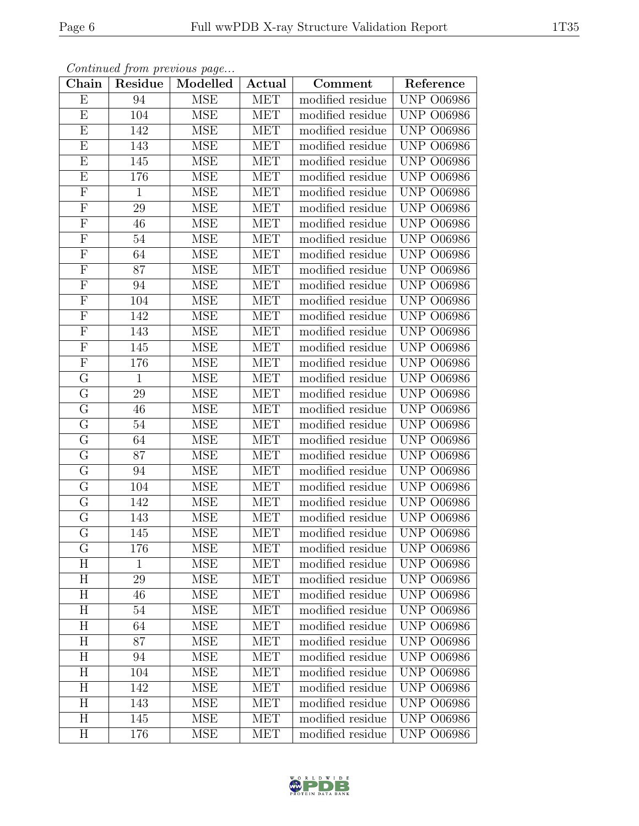| ${\rm Chain}$           | Residue      | Modelled   | $\boldsymbol{\operatorname{Actual}}$ | Comment          | Reference         |
|-------------------------|--------------|------------|--------------------------------------|------------------|-------------------|
| E                       | 94           | <b>MSE</b> | <b>MET</b>                           | modified residue | <b>UNP 006986</b> |
| E                       | 104          | <b>MSE</b> | <b>MET</b>                           | modified residue | <b>UNP 006986</b> |
| E                       | 142          | <b>MSE</b> | <b>MET</b>                           | modified residue | <b>UNP 006986</b> |
| ${\bf E}$               | 143          | <b>MSE</b> | MET                                  | modified residue | <b>UNP 006986</b> |
| $\overline{E}$          | 145          | <b>MSE</b> | MET                                  | modified residue | <b>UNP 006986</b> |
| E                       | 176          | <b>MSE</b> | MET                                  | modified residue | <b>UNP 006986</b> |
| $\mathbf F$             | $\mathbf{1}$ | <b>MSE</b> | <b>MET</b>                           | modified residue | <b>UNP 006986</b> |
| $\overline{\mathrm{F}}$ | 29           | <b>MSE</b> | MET                                  | modified residue | <b>UNP 006986</b> |
| $\mathbf F$             | 46           | <b>MSE</b> | MET                                  | modified residue | <b>UNP 006986</b> |
| $\overline{F}$          | 54           | <b>MSE</b> | <b>MET</b>                           | modified residue | <b>UNP 006986</b> |
| $\mathbf{F}$            | 64           | <b>MSE</b> | MET                                  | modified residue | <b>UNP 006986</b> |
| $\overline{F}$          | 87           | <b>MSE</b> | <b>MET</b>                           | modified residue | <b>UNP 006986</b> |
| $\mathbf F$             | 94           | <b>MSE</b> | <b>MET</b>                           | modified residue | <b>UNP 006986</b> |
| $\mathbf F$             | 104          | <b>MSE</b> | <b>MET</b>                           | modified residue | <b>UNP 006986</b> |
| $\overline{F}$          | 142          | <b>MSE</b> | <b>MET</b>                           | modified residue | <b>UNP 006986</b> |
| $\mathbf F$             | 143          | <b>MSE</b> | <b>MET</b>                           | modified residue | <b>UNP 006986</b> |
| $\overline{F}$          | 145          | <b>MSE</b> | <b>MET</b>                           | modified residue | <b>UNP 006986</b> |
| $\mathbf F$             | 176          | <b>MSE</b> | MET                                  | modified residue | <b>UNP 006986</b> |
| G                       | $\mathbf{1}$ | <b>MSE</b> | <b>MET</b>                           | modified residue | <b>UNP 006986</b> |
| $\overline{G}$          | 29           | <b>MSE</b> | <b>MET</b>                           | modified residue | <b>UNP 006986</b> |
| G                       | 46           | <b>MSE</b> | <b>MET</b>                           | modified residue | <b>UNP 006986</b> |
| $\mathbf G$             | 54           | <b>MSE</b> | <b>MET</b>                           | modified residue | <b>UNP 006986</b> |
| $\mathbf G$             | 64           | <b>MSE</b> | MET                                  | modified residue | <b>UNP 006986</b> |
| $\overline{\mathrm{G}}$ | 87           | <b>MSE</b> | MET                                  | modified residue | <b>UNP 006986</b> |
| $\overline{G}$          | 94           | <b>MSE</b> | MET                                  | modified residue | <b>UNP 006986</b> |
| $\mathbf G$             | 104          | <b>MSE</b> | <b>MET</b>                           | modified residue | <b>UNP 006986</b> |
| $\overline{G}$          | 142          | <b>MSE</b> | MET                                  | modified residue | <b>UNP 006986</b> |
| ${\bf G}$               | 143          | <b>MSE</b> | MET                                  | modified residue | <b>UNP 006986</b> |
| $\overline{\mathrm{G}}$ | 145          | <b>MSE</b> | MET                                  | modified residue | <b>UNP 006986</b> |
| G                       | 176          | MSE        | MET                                  | modified residue | UNP 006986        |
| H                       | 1            | <b>MSE</b> | <b>MET</b>                           | modified residue | <b>UNP 006986</b> |
| H                       | 29           | <b>MSE</b> | <b>MET</b>                           | modified residue | <b>UNP 006986</b> |
| H                       | 46           | <b>MSE</b> | <b>MET</b>                           | modified residue | <b>UNP 006986</b> |
| H                       | 54           | <b>MSE</b> | <b>MET</b>                           | modified residue | <b>UNP 006986</b> |
| H                       | 64           | <b>MSE</b> | <b>MET</b>                           | modified residue | <b>UNP 006986</b> |
| H                       | 87           | <b>MSE</b> | <b>MET</b>                           | modified residue | <b>UNP 006986</b> |
| H                       | 94           | <b>MSE</b> | <b>MET</b>                           | modified residue | <b>UNP 006986</b> |
| H                       | 104          | <b>MSE</b> | <b>MET</b>                           | modified residue | <b>UNP 006986</b> |
| H                       | 142          | <b>MSE</b> | <b>MET</b>                           | modified residue | <b>UNP 006986</b> |
| H                       | 143          | <b>MSE</b> | <b>MET</b>                           | modified residue | <b>UNP 006986</b> |
| H                       | 145          | <b>MSE</b> | <b>MET</b>                           | modified residue | <b>UNP 006986</b> |
| $H_{\rm}$               | 176          | MSE        | <b>MET</b>                           | modified residue | <b>UNP 006986</b> |

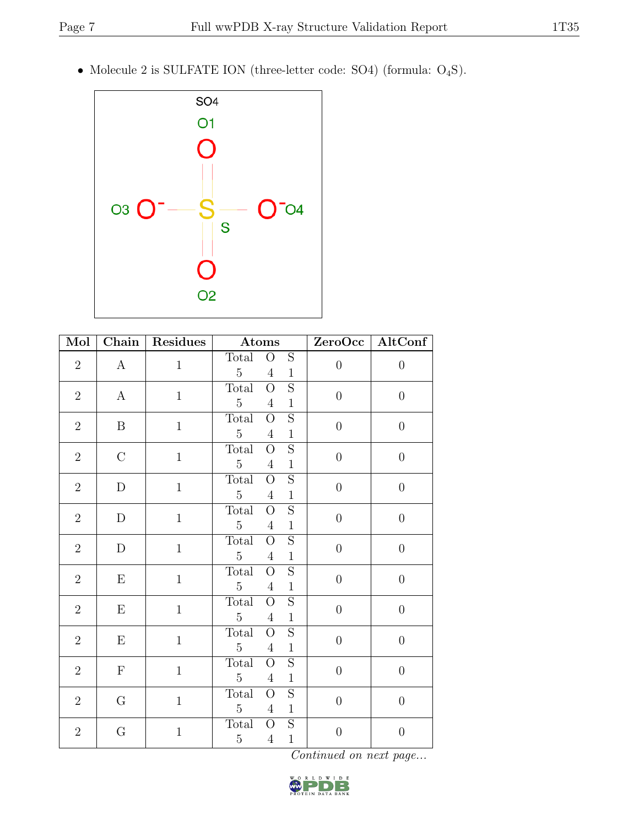• Molecule 2 is SULFATE ION (three-letter code: SO4) (formula: O4S).



| Mol            | $\overline{\text{Chain}}$ | Residues     | <b>Atoms</b>                                                                                         |                  | ZeroOcc   AltConf |
|----------------|---------------------------|--------------|------------------------------------------------------------------------------------------------------|------------------|-------------------|
| $\sqrt{2}$     | $\mathbf{A}$              | $\mathbf{1}$ | $\overline{O}$<br>$\mathbf S$<br>Total<br>$\overline{5}$<br>$\overline{4}$<br>$\mathbf{1}$           | $\boldsymbol{0}$ | $\theta$          |
| $\overline{2}$ | $\bf{A}$                  | $\mathbf{1}$ | $\overline{S}$<br>Total<br>$\overline{O}$<br>$\overline{5}$<br>$\mathbf{1}$<br>$\overline{4}$        | $\boldsymbol{0}$ | $\boldsymbol{0}$  |
| $\overline{2}$ | $\boldsymbol{B}$          | $\mathbf{1}$ | $\overline{S}$<br>Total<br>$\overline{O}$<br>$5\,$<br>$\overline{4}$<br>$\,1$                        | $\boldsymbol{0}$ | $\overline{0}$    |
| $\overline{2}$ | $\mathcal{C}$             | $\,1\,$      | $\overline{S}$<br>Total<br>О<br>$\overline{5}$<br>$\mathbf 1$<br>$\overline{4}$                      | $\boldsymbol{0}$ | $\boldsymbol{0}$  |
| $\sqrt{2}$     | $\mathbf D$               | $\mathbf{1}$ | $\overline{S}$<br>Total<br>$\overline{O}$<br>$\overline{5}$<br>$\mathbf{1}$<br>$\overline{4}$        | $\boldsymbol{0}$ | $\overline{0}$    |
| $\overline{2}$ | $\mathbf D$               | $\mathbf 1$  | $\overline{S}$<br><b>Total</b><br>$\overline{O}$<br>$\overline{5}$<br>$\mathbf{1}$<br>$\overline{4}$ | $\boldsymbol{0}$ | $\boldsymbol{0}$  |
| $\overline{2}$ | D                         | $\mathbf{1}$ | $\overline{S}$<br>Total<br>$\overline{O}$<br>$\overline{5}$<br>$\overline{4}$<br>$\mathbf{1}$        | $\theta$         | $\boldsymbol{0}$  |
| $\overline{2}$ | E                         | $\mathbf{1}$ | $\mathbf S$<br>Total<br>$\overline{O}$<br>$\overline{5}$<br>$\mathbf{1}$<br>$\overline{4}$           | $\boldsymbol{0}$ | $\boldsymbol{0}$  |
| $\overline{2}$ | Ε                         | $\mathbf{1}$ | $\overline{S}$<br>Total<br>$\overline{O}$<br>$\overline{5}$<br>$\overline{4}$<br>$\mathbf 1$         | $\theta$         | $\boldsymbol{0}$  |
| $\overline{2}$ | Ε                         | $\mathbf{1}$ | $\overline{S}$<br>Total<br>$\overline{O}$<br>$\overline{5}$<br>$\mathbf{1}$<br>$\overline{4}$        | $\boldsymbol{0}$ | $\boldsymbol{0}$  |
| $\overline{2}$ | $\mathbf F$               | $\mathbf{1}$ | $\overline{S}$<br>Total<br>$\overline{O}$<br>$\overline{5}$<br>$\mathbf 1$<br>$\overline{4}$         | $\boldsymbol{0}$ | $\boldsymbol{0}$  |
| $\overline{2}$ | $G\$                      | $\mathbf{1}$ | $\overline{S}$<br>Total<br>$\rm{O}$<br>$5\,$<br>$\mathbf{1}$<br>$\overline{4}$                       | $\theta$         | $\boldsymbol{0}$  |
| $\overline{2}$ | ${\bf G}$                 | $\mathbf{1}$ | Total<br>$\mathbf S$<br>$\overline{O}$<br>$\overline{5}$<br>$\mathbf{1}$<br>$\overline{4}$           | $\boldsymbol{0}$ | $\theta$          |

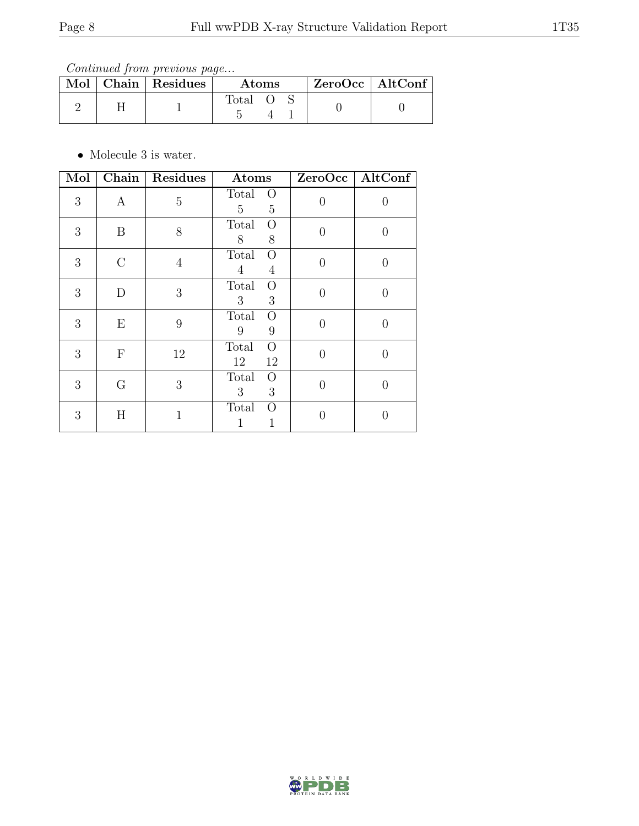Continued from previous page...

|  | $\text{Mol}$   Chain   Residues | $\rm{Atoms}$ |  |  | $ZeroOcc \   \$ AltConf |
|--|---------------------------------|--------------|--|--|-------------------------|
|  |                                 | Total        |  |  |                         |

 $\bullet\,$  Molecule 3 is water.

| Mol |                  | Chain   Residues | Atoms                                                 |                | ZeroOcc   AltConf |
|-----|------------------|------------------|-------------------------------------------------------|----------------|-------------------|
| 3   | $\boldsymbol{A}$ | 5                | Total<br>$\Omega$<br>$\overline{5}$<br>$\overline{5}$ | $\overline{0}$ | U                 |
| 3   | B                | 8                | Total<br>O<br>8<br>$8\,$                              | $\Omega$       | $\left( \right)$  |
| 3   | $\rm C$          | $\overline{4}$   | Total<br>$\Omega$<br>$\overline{4}$<br>$\overline{4}$ | 0              | $\left( \right)$  |
| 3   | D                | 3                | Total<br>$\rm{O}$<br>3<br>3                           | $\Omega$       |                   |
| 3   | Ε                | 9                | Total<br>O<br>9<br>9                                  | $\Omega$       | $\left( \right)$  |
| 3   | $\mathbf{F}$     | 12               | Total<br>$\overline{O}$<br>12<br>12                   | 0              | 0                 |
| 3   | G                | 3                | Total<br>O<br>3<br>3                                  | $\Omega$       | 0                 |
| 3   | Η                | $\mathbf{1}$     | Total<br>O<br>1                                       | 0              |                   |

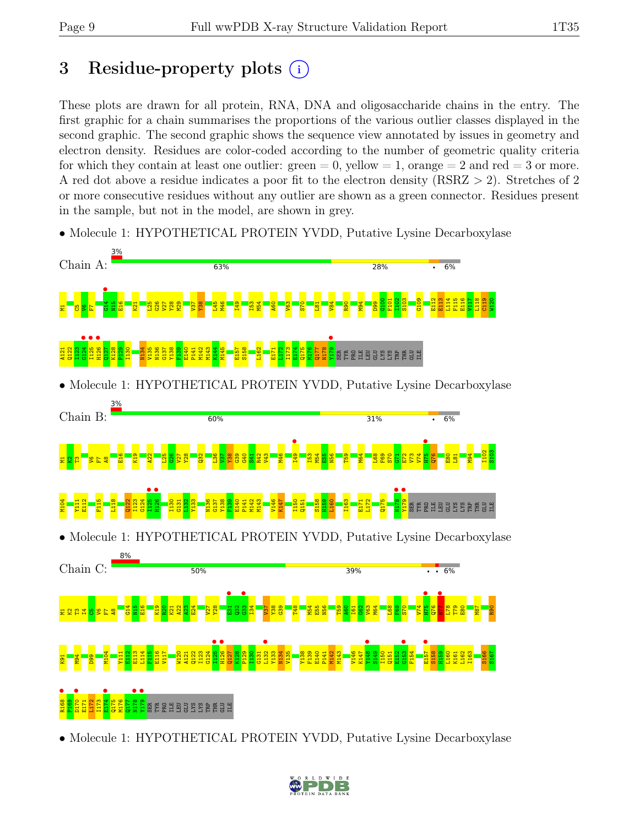# 3 Residue-property plots (i)

These plots are drawn for all protein, RNA, DNA and oligosaccharide chains in the entry. The first graphic for a chain summarises the proportions of the various outlier classes displayed in the second graphic. The second graphic shows the sequence view annotated by issues in geometry and electron density. Residues are color-coded according to the number of geometric quality criteria for which they contain at least one outlier:  $green = 0$ , yellow  $= 1$ , orange  $= 2$  and red  $= 3$  or more. A red dot above a residue indicates a poor fit to the electron density (RSRZ > 2). Stretches of 2 or more consecutive residues without any outlier are shown as a green connector. Residues present in the sample, but not in the model, are shown in grey.

• Molecule 1: HYPOTHETICAL PROTEIN YVDD, Putative Lysine Decarboxylase



• Molecule 1: HYPOTHETICAL PROTEIN YVDD, Putative Lysine Decarboxylase

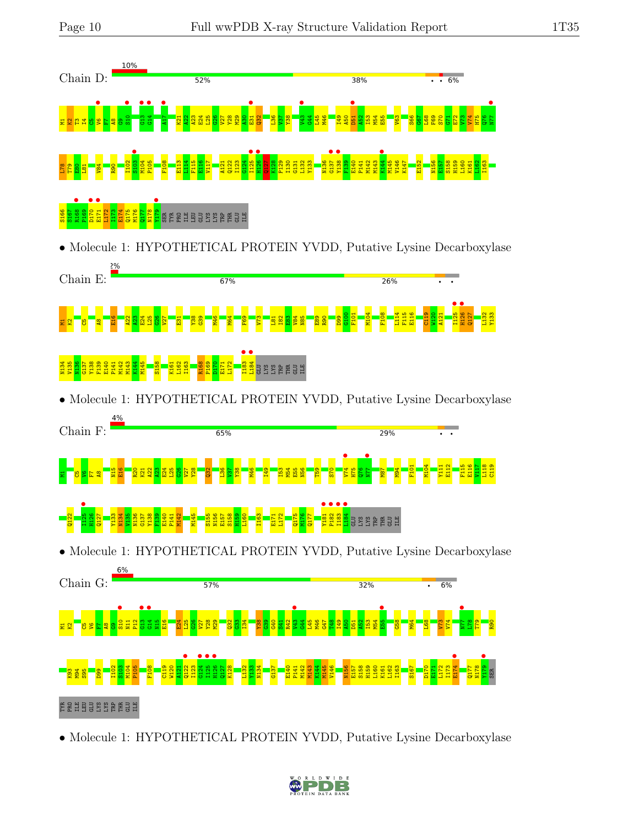

• Molecule 1: HYPOTHETICAL PROTEIN YVDD, Putative Lysine Decarboxylase

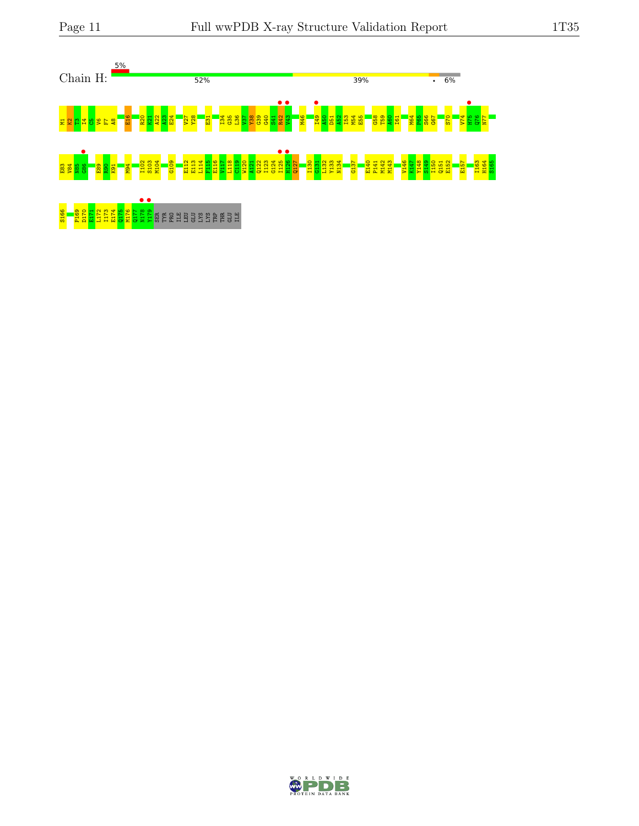

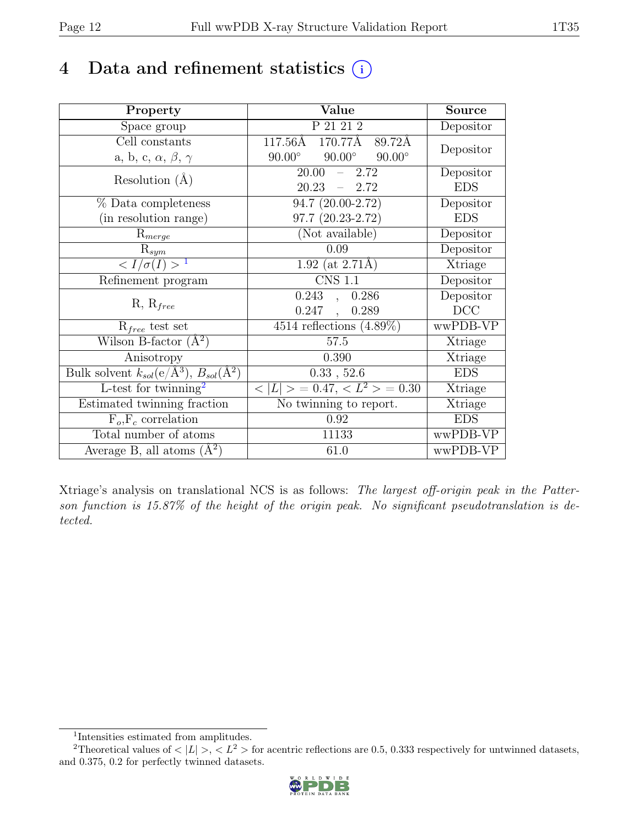# 4 Data and refinement statistics  $(i)$

| Property                                                             | Value                                           | <b>Source</b> |
|----------------------------------------------------------------------|-------------------------------------------------|---------------|
| Space group                                                          | P 21 21 2                                       | Depositor     |
| Cell constants                                                       | 117.56Å<br>170.77Å<br>89.72Å                    | Depositor     |
| a, b, c, $\alpha$ , $\beta$ , $\gamma$                               | $90.00^\circ$<br>$90.00^\circ$<br>$90.00^\circ$ |               |
| Resolution $(A)$                                                     | 20.00<br>$-2.72$                                | Depositor     |
|                                                                      | 20.23<br>$-2.72$                                | <b>EDS</b>    |
| % Data completeness                                                  | 94.7 (20.00-2.72)                               | Depositor     |
| (in resolution range)                                                | $97.7(20.23-2.72)$                              | <b>EDS</b>    |
| $R_{merge}$                                                          | (Not available)                                 | Depositor     |
| $\mathrm{R}_{sym}$                                                   | 0.09                                            | Depositor     |
| $\langle I/\sigma(I) \rangle$ <sup>1</sup>                           | $1.92$ (at 2.71Å)                               | Xtriage       |
| Refinement program                                                   | <b>CNS 1.1</b>                                  | Depositor     |
| $R, R_{free}$                                                        | 0.243,<br>0.286                                 | Depositor     |
|                                                                      | $0.247$ ,<br>0.289                              | DCC           |
| $R_{free}$ test set                                                  | $4514$ reflections $(4.89\%)$                   | wwPDB-VP      |
| Wilson B-factor $(A^2)$                                              | 57.5                                            | Xtriage       |
| Anisotropy                                                           | 0.390                                           | Xtriage       |
| Bulk solvent $k_{sol}(e/\mathring{A}^3)$ , $B_{sol}(\mathring{A}^2)$ | 0.33, 52.6                                      | <b>EDS</b>    |
| L-test for twinning <sup>2</sup>                                     | $< L >$ = 0.47, $< L^2 >$ = 0.30                | Xtriage       |
| Estimated twinning fraction                                          | $\overline{\text{No}}$ twinning to report.      | Xtriage       |
| $F_o, F_c$ correlation                                               | 0.92                                            | <b>EDS</b>    |
| Total number of atoms                                                | 11133                                           | wwPDB-VP      |
| Average B, all atoms $(A^2)$                                         | 61.0                                            | wwPDB-VP      |

Xtriage's analysis on translational NCS is as follows: The largest off-origin peak in the Patterson function is 15.87% of the height of the origin peak. No significant pseudotranslation is detected.

<sup>&</sup>lt;sup>2</sup>Theoretical values of  $\langle |L| \rangle$ ,  $\langle L^2 \rangle$  for acentric reflections are 0.5, 0.333 respectively for untwinned datasets, and 0.375, 0.2 for perfectly twinned datasets.



<span id="page-11-1"></span><span id="page-11-0"></span><sup>1</sup> Intensities estimated from amplitudes.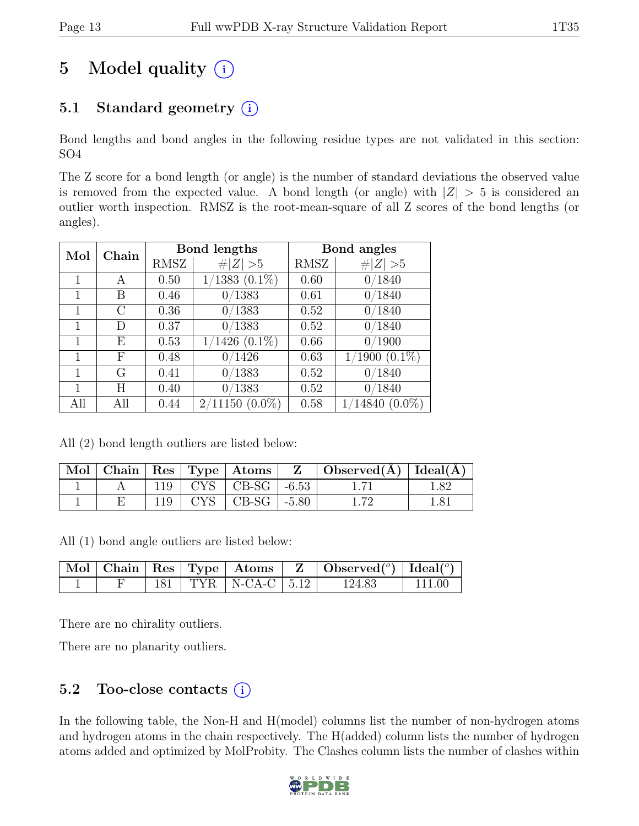# 5 Model quality  $(i)$

## 5.1 Standard geometry  $(i)$

Bond lengths and bond angles in the following residue types are not validated in this section: SO4

The Z score for a bond length (or angle) is the number of standard deviations the observed value is removed from the expected value. A bond length (or angle) with  $|Z| > 5$  is considered an outlier worth inspection. RMSZ is the root-mean-square of all Z scores of the bond lengths (or angles).

| Chain<br>Mol |      | <b>Bond lengths</b> |                    | Bond angles |                    |
|--------------|------|---------------------|--------------------|-------------|--------------------|
|              | RMSZ | Z   > 5             | RMSZ               | Z   > 5     |                    |
|              | А    | 0.50                | $1/1383$ $(0.1\%)$ | 0.60        | 0/1840             |
| 1            | В    | 0.46                | 0/1383             | 0.61        | 0/1840             |
|              | C    | 0.36                | 0/1383             | 0.52        | 0/1840             |
|              | D    | 0.37                | 0/1383             | 0.52        | 0/1840             |
|              | Е    | 0.53                | $1/1426$ $(0.1\%)$ | 0.66        | 0/1900             |
| 1            | F    | 0.48                | 0/1426             | 0.63        | $1/1900$ $(0.1\%)$ |
|              | G    | 0.41                | 0/1383             | 0.52        | 0/1840             |
|              | H    | 0.40                | /1383              | 0.52        | 0/1840             |
| All          | All  | 0.44                | $2/11150(0.0\%)$   | 0.58        | $1/14840(0.0\%)$   |

All (2) bond length outliers are listed below:

|  |  |                             | $\Box$ Mol   Chain   Res   Type   Atoms   $Z$   Observed(A)   Ideal(A) |      |
|--|--|-----------------------------|------------------------------------------------------------------------|------|
|  |  | $119$   CYS   CB-SG   -6.53 |                                                                        | 1.82 |
|  |  | $119$   CYS   CB-SG   -5.80 |                                                                        |      |

All (1) bond angle outliers are listed below:

|  |  |                             | $\vert$ Mol   Chain   Res   Type   Atoms   Z   Observed $\vert$ <sup>o</sup> )   Ideal $\vert$ <sup>o</sup> ) |        |
|--|--|-----------------------------|---------------------------------------------------------------------------------------------------------------|--------|
|  |  | $181$   TYR   N-CA-C   5.12 | 124.83                                                                                                        | 111.00 |

There are no chirality outliers.

There are no planarity outliers.

### 5.2 Too-close contacts  $(i)$

In the following table, the Non-H and H(model) columns list the number of non-hydrogen atoms and hydrogen atoms in the chain respectively. The H(added) column lists the number of hydrogen atoms added and optimized by MolProbity. The Clashes column lists the number of clashes within

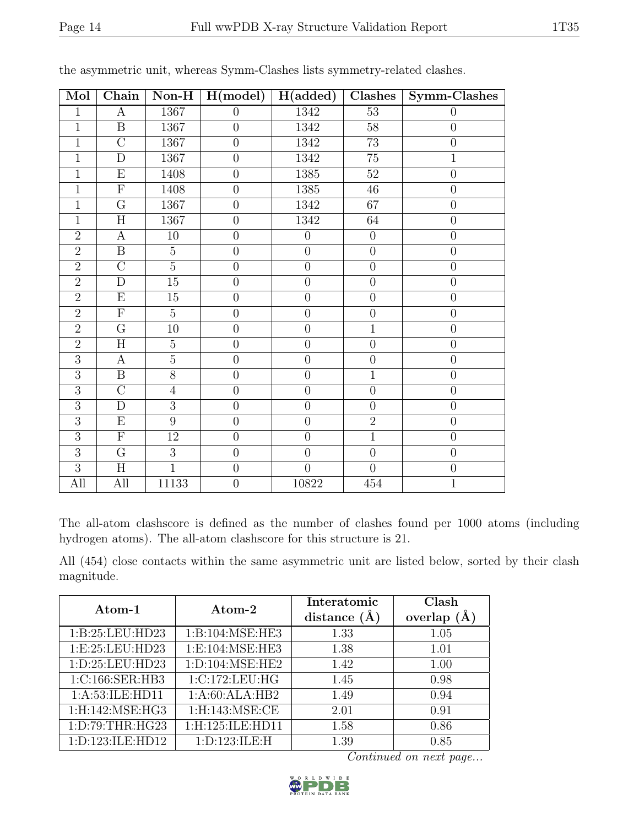| Mol            | Chain                   | $\bf Non-H$     | H (model)        | H(added)         | Clashes          | Symm-Clashes     |
|----------------|-------------------------|-----------------|------------------|------------------|------------------|------------------|
| $\mathbf{1}$   | $\bf{A}$                | 1367            | $\boldsymbol{0}$ | 1342             | $\overline{53}$  | $\theta$         |
| $\overline{1}$ | $\overline{B}$          | 1367            | $\boldsymbol{0}$ | 1342             | 58               | $\theta$         |
| $\overline{1}$ | $\overline{C}$          | 1367            | $\overline{0}$   | 1342             | $\overline{73}$  | $\theta$         |
| $\overline{1}$ | $\overline{D}$          | 1367            | $\overline{0}$   | 1342             | $\overline{75}$  | $\overline{1}$   |
| $\mathbf 1$    | E                       | 1408            | $\boldsymbol{0}$ | 1385             | $52\,$           | $\theta$         |
| $\overline{1}$ | $\overline{\mathrm{F}}$ | 1408            | $\boldsymbol{0}$ | 1385             | $\overline{46}$  | $\overline{0}$   |
| $\mathbf{1}$   | $\overline{G}$          | 1367            | $\overline{0}$   | 1342             | 67               | $\boldsymbol{0}$ |
| $\mathbf{1}$   | $\overline{H}$          | 1367            | $\overline{0}$   | 1342             | 64               | $\overline{0}$   |
| $\overline{2}$ | $\boldsymbol{A}$        | $10\,$          | $\overline{0}$   | $\boldsymbol{0}$ | $\theta$         | $\boldsymbol{0}$ |
| $\overline{2}$ | B                       | $\overline{5}$  | $\overline{0}$   | $\overline{0}$   | $\theta$         | $\theta$         |
| $\overline{2}$ | $\overline{C}$          | $\overline{5}$  | $\boldsymbol{0}$ | $\overline{0}$   | $\overline{0}$   | $\boldsymbol{0}$ |
| $\overline{2}$ | $\mathbf D$             | $\overline{15}$ | $\overline{0}$   | $\boldsymbol{0}$ | $\boldsymbol{0}$ | $\boldsymbol{0}$ |
| $\overline{2}$ | $\overline{\mathrm{E}}$ | $\overline{15}$ | $\overline{0}$   | $\overline{0}$   | $\overline{0}$   | $\overline{0}$   |
| $\overline{2}$ | $\overline{F}$          | $\overline{5}$  | $\overline{0}$   | $\overline{0}$   | $\theta$         | $\overline{0}$   |
| $\overline{2}$ | $\overline{\mathrm{G}}$ | $10\,$          | $\boldsymbol{0}$ | $\boldsymbol{0}$ | $\overline{1}$   | $\boldsymbol{0}$ |
| $\overline{2}$ | $\overline{\rm H}$      | $\overline{5}$  | $\overline{0}$   | $\overline{0}$   | $\overline{0}$   | $\theta$         |
| $\overline{3}$ | A                       | $\overline{5}$  | $\overline{0}$   | $\overline{0}$   | $\overline{0}$   | $\theta$         |
| $\overline{3}$ | $\overline{\mathbf{B}}$ | $\overline{8}$  | $\boldsymbol{0}$ | $\boldsymbol{0}$ | $\overline{1}$   | $\overline{0}$   |
| 3              | $\overline{C}$          | $\overline{4}$  | $\overline{0}$   | $\overline{0}$   | $\theta$         | $\overline{0}$   |
| $\overline{3}$ | $\mathbf{D}$            | $\overline{3}$  | $\overline{0}$   | $\overline{0}$   | $\overline{0}$   | $\boldsymbol{0}$ |
| $\overline{3}$ | $\overline{E}$          | $\overline{9}$  | $\boldsymbol{0}$ | $\overline{0}$   | $\overline{2}$   | $\theta$         |
| $\overline{3}$ | ${\bf F}$               | 12              | $\overline{0}$   | $\overline{0}$   | $\overline{1}$   | $\boldsymbol{0}$ |
| $\overline{3}$ | $\overline{\mathrm{G}}$ | $\overline{3}$  | $\overline{0}$   | $\overline{0}$   | $\overline{0}$   | $\theta$         |
| $\overline{3}$ | H                       | $\overline{1}$  | $\boldsymbol{0}$ | $\overline{0}$   | $\overline{0}$   | $\boldsymbol{0}$ |
| All            | All                     | 11133           | $\overline{0}$   | 10822            | 454              | $\overline{1}$   |

the asymmetric unit, whereas Symm-Clashes lists symmetry-related clashes.

The all-atom clashscore is defined as the number of clashes found per 1000 atoms (including hydrogen atoms). The all-atom clashscore for this structure is 21.

All (454) close contacts within the same asymmetric unit are listed below, sorted by their clash magnitude.

| Atom-1               | Atom-2              | Interatomic<br>distance $(A)$ | Clash<br>(A)<br>overlap |
|----------------------|---------------------|-------------------------------|-------------------------|
| 1:B:25:LEU:HD23      | 1:B:104:MSE:HE3     | 1.33                          | 1.05                    |
| 1:E:25:LEU:HD23      | 1:E:104:MSE:HE3     | 1.38                          | 1.01                    |
| 1:D:25:LEU:HD23      | 1: D: 104: MSE: HE2 | 1.42                          | 1.00                    |
| 1:C:166:SER:HB3      | 1:C:172:LEU:HG      | 1.45                          | 0.98                    |
| 1:A:53:ILE:HD11      | 1:A:60:ALA:HB2      | 1.49                          | 0.94                    |
| 1:H:142:MSE:HG3      | 1:H:143:MSE:CE      | 2.01                          | 0.91                    |
| 1:D:79:THR:HG23      | 1:H:125:ILE:HD11    | 1.58                          | 0.86                    |
| 1: D: 123: ILE: HD12 | 1:D:123:ILE:H       | 1.39                          | 0.85                    |

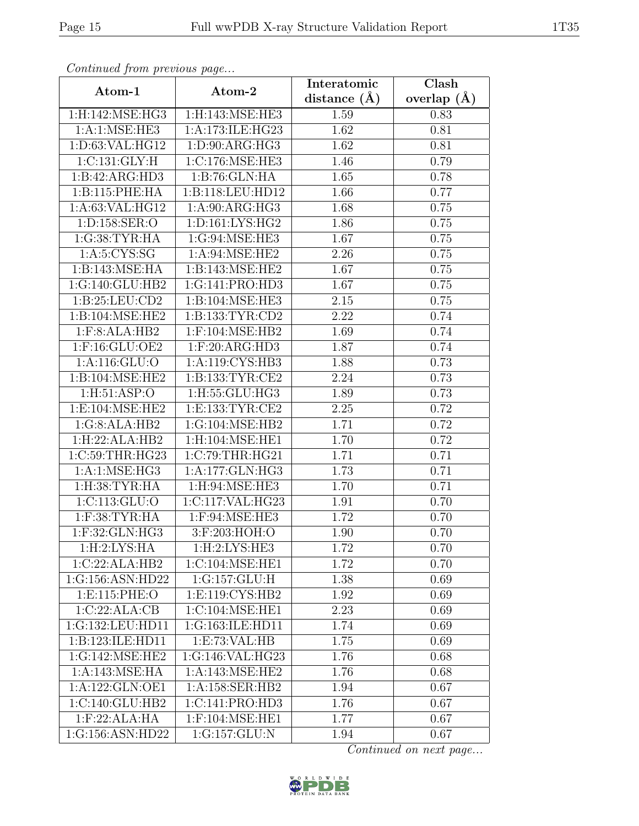| Continuea from previous page |                                 | Interatomic       | Clash         |
|------------------------------|---------------------------------|-------------------|---------------|
| Atom-1                       | Atom-2                          | distance $(A)$    | overlap $(A)$ |
| 1:H:142:MSE:HG3              | 1:H:143:MSE:HE3                 | 1.59              | 0.83          |
| 1:A:1:MSE:HE3                | 1:A:173:ILE:HG23                | $\overline{1.62}$ | 0.81          |
| 1: D:63: VAL: HG12           | 1: D: 90: ARG: HG3              | 1.62              | 0.81          |
| 1: C: 131: GLY: H            | 1:C:176:MSE:HE3                 | 1.46              | 0.79          |
| 1:B:42:ARG:HD3               | 1:B:76:GLN:HA                   | 1.65              | 0.78          |
| 1:B:115:PHE:HA               | 1:B:118:LEU:HD12                | 1.66              | 0.77          |
| 1:A:63:VAL:HG12              | 1: A:90: ARG: HG3               | 1.68              | 0.75          |
| 1:D:158:SER:O                | 1: D: 161: LYS: HG2             | 1.86              | 0.75          |
| 1:G:38:TYR:HA                | 1:G:94:MSE:HE3                  | 1.67              | 0.75          |
| 1: A:5: CYS:SG               | 1: A:94: MSE: HE2               | 2.26              | 0.75          |
| 1:B:143:MSE:HA               | 1:B:143:MSE:HE2                 | 1.67              | 0.75          |
| 1:G:140:GLU:HB2              | 1:G:141:PRO:HD3                 | 1.67              | 0.75          |
| 1:B:25:LEU:CD2               | 1:B:104:MSE:HE3                 | 2.15              | 0.75          |
| 1:B:104:MSE:HE2              | 1:B:133:TYR:CD2                 | 2.22              | 0.74          |
| 1:F:8:ALA:HB2                | 1:F:104:MSE:HB2                 | 1.69              | 0.74          |
| 1:F:16:GLU:OE2               | 1: F:20: ARG:HD3                | 1.87              | 0.74          |
| 1: A:116: GLU:O              | 1:A:119:CYS:HB3                 | 1.88              | 0.73          |
| 1:B:104:MSE:HE2              | 1:B:133:TYR:CE2                 | 2.24              | 0.73          |
| 1: H:51: ASP:O               | $1:$ H:55: $\overline{GLU:HG3}$ | 1.89              | 0.73          |
| 1:E:104:MSE:HE2              | 1: E: 133: TYR: CE2             | 2.25              | 0.72          |
| 1:G:8:ALA:HB2                | 1:G:104:MSE:HB2                 | 1.71              | 0.72          |
| 1:H:22:ALA:HB2               | 1:H:104:MSE:HE1                 | 1.70              | 0.72          |
| 1:C:59:THR:HG23              | 1:C:79:THR:HG21                 | 1.71              | 0.71          |
| 1: A:1: MSE: HG3             | 1: A:177: GLN: HG3              | 1.73              | 0.71          |
| 1:H:38:TYR:HA                | 1:H:94:MSE:HE3                  | 1.70              | 0.71          |
| 1: C: 113: GLU: O            | 1:C:117:VAL:HG23                | 1.91              | 0.70          |
| $1:$ F:38:TYR:HA             | 1:F:94:MSE:HE3                  | 1.72              | 0.70          |
| $1:$ F:32:GLN:HG3            | 3:F:203:HOH:O                   | 1.90              | 0.70          |
| 1:H:2:LYS:HA                 | 1:H:2:LYS:HE3                   | 1.72              | 0.70          |
| 1:C:22:ALA:HB2               | 1:C:104:MSE:HE1                 | 1.72              | 0.70          |
| 1:G:156:ASN:HD22             | 1:G:157:GLU:H                   | 1.38              | 0.69          |
| 1:E:115:PHE:O                | 1: E: 119: CYS: HB2             | 1.92              | 0.69          |
| 1:C:22:ALA:CB                | 1:C:104:MSE:HE1                 | 2.23              | 0.69          |
| 1:G:132:LEU:HD11             | 1:G:163:ILE:HD11                | 1.74              | 0.69          |
| 1:B:123:ILE:HD11             | 1: E: 73: VAL: HB               | 1.75              | 0.69          |
| 1:G:142:MSE:HE2              | 1:G:146:VAL:HG23                | 1.76              | 0.68          |
| 1: A:143: MSE: HA            | 1: A:143: MSE:HE2               | 1.76              | 0.68          |
| 1:A:122:GLN:OE1              | 1:A:158:SER:HB2                 | 1.94              | 0.67          |
| 1:C:140:GLU:HB2              | 1:C:141:PRO:HD3                 | 1.76              | 0.67          |
| 1: F:22: ALA: HA             | 1:F:104:MSE:HE1                 | 1.77              | 0.67          |
| 1:G:156:ASN:HD22             | 1:G:157:GLU:N                   | 1.94              | 0.67          |

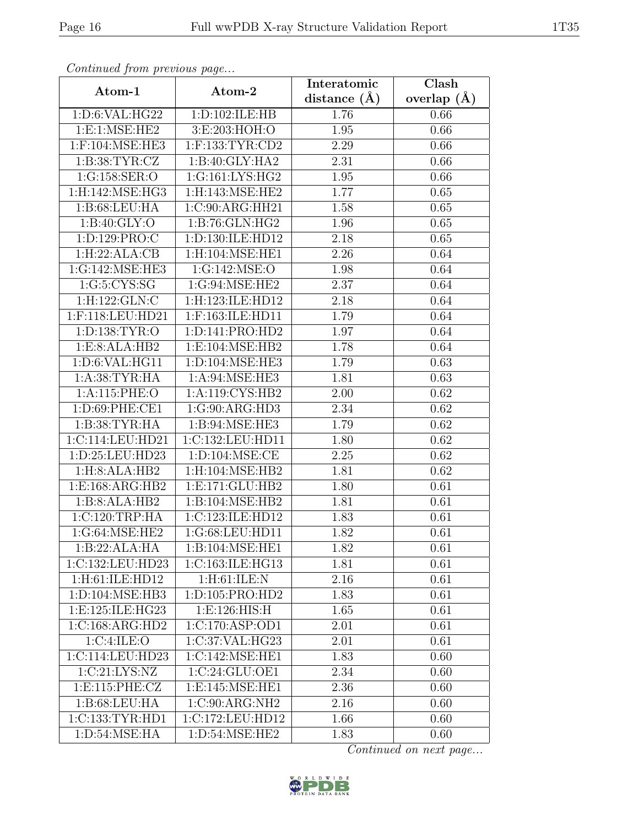| Continued from previous page |                              | Interatomic       | $\overline{\text{Clash}}$ |
|------------------------------|------------------------------|-------------------|---------------------------|
| Atom-1                       | Atom-2                       | distance $(A)$    | overlap $(A)$             |
| 1:D:6:VAL:HG22               | 1:D:102:ILE:HB               | 1.76              | 0.66                      |
| 1: E: 1: MSE: HE2            | 3:E:203:HOH:O                | $\overline{1.95}$ | 0.66                      |
| $1:$ F:104:MSE:HE3           | $1:$ F:133:TYR:CD2           | 2.29              | 0.66                      |
| 1: B:38: TYR: CZ             | 1:B:40:GLY:HA2               | 2.31              | 0.66                      |
| 1:G:158:SER:O                | 1:G:161:LYS:HG2              | 1.95              | 0.66                      |
| 1:H:142:MSE:HG3              | 1:H:143:MSE:HE2              | 1.77              | 0.65                      |
| 1:B:68:LEU:HA                | $1:C:90:A\overline{RG:HH21}$ | 1.58              | 0.65                      |
| 1: B:40: GLY:O               | 1:B:76:GLN:HG2               | 1.96              | 0.65                      |
| 1:D:129:PRO:C                | 1:D:130:ILE:HD12             | 2.18              | 0.65                      |
| 1:H:22:ALA:CB                | 1:H:104:MSE:HE1              | 2.26              | 0.64                      |
| 1:G:142:MSE:HE3              | 1:G:142:MSE:O                | 1.98              | 0.64                      |
| 1:G:5:CYS:SG                 | 1:G:94:MSE:HE2               | 2.37              | 0.64                      |
| 1:H:122:GLN:C                | 1:H:123:ILE:HD12             | 2.18              | 0.64                      |
| 1:F:118:LEU:HD21             | 1:F:163:ILE:HD11             | 1.79              | 0.64                      |
| 1:D:138:TYR:O                | 1:D:141:PRO:HD2              | 1.97              | 0.64                      |
| 1:E:8:ALA:HB2                | 1:E:104:MSE:HB2              | 1.78              | 0.64                      |
| 1:D:6:VAL:HG11               | 1:D:104:MSE:HE3              | 1.79              | 0.63                      |
| 1: A:38:TYR:HA               | 1:A:94:MSE:HE3               | 1.81              | 0.63                      |
| 1:A:115:PHE:O                | 1:A:119:CYS:HB2              | 2.00              | 0.62                      |
| 1:D:69:PHE:CE1               | 1:G:90:ARG:HD3               | 2.34              | 0.62                      |
| 1:B:38:TYR:HA                | 1:B:94:MSE:HE3               | 1.79              | 0.62                      |
| 1:C:114:LEU:HD21             | 1:C:132:LEU:HD11             | 1.80              | 0.62                      |
| 1:D:25:LEU:HD23              | 1: D: 104: MSE: CE           | 2.25              | 0.62                      |
| 1:H:8:ALA:HB2                | 1:H:104:MSE:HB2              | 1.81              | 0.62                      |
| 1:E:168:ARG:HB2              | 1: E: 171: GLU: HB2          | 1.80              | 0.61                      |
| 1:B:8:ALA:HB2                | 1:B:104:MSE:HB2              | 1.81              | 0.61                      |
| 1:C:120:TRP:HA               | 1:C:123:ILE:HD12             | 1.83              | 0.61                      |
| 1:G:64:MSE:HE2               | 1:G:68:LEU:HD11              | 1.82              | 0.61                      |
| 1:B:22:ALA:HA                | 1:B:104:MSE:HE1              | 1.82              | 0.61                      |
| 1:C:132:LEU:HD23             | 1:C:163:ILE:HG13             | 1.81              | 0.61                      |
| 1:H:61:ILE:HD12              | 1:H:61:ILE:N                 | 2.16              | 0.61                      |
| 1:D:104:MSE:HB3              | 1:D:105:PRO:HD2              | 1.83              | 0.61                      |
| 1:E:125:ILE:HG23             | 1: E: 126: HIS: H            | 1.65              | 0.61                      |
| 1:C:168:ARG:HD2              | 1:C:170:ASP:OD1              | 2.01              | 0.61                      |
| 1:C:4:ILE:O                  | 1:C:37:VAL:HG23              | 2.01              | 0.61                      |
| 1:C:114:LEU:HD23             | 1:C:142:MSE:HE1              | 1.83              | 0.60                      |
| 1:C:21:LYS:NZ                | 1:C:24:GLU:OE1               | 2.34              | 0.60                      |
| 1:E:115:PHE:CZ               | 1:E:145:MSE:HE1              | 2.36              | 0.60                      |
| 1: B:68:LEU:HA               | 1:C:90:ARG:NH2               | 2.16              | 0.60                      |
| 1:C:133:TYR:HD1              | 1:C:172:LEU:HD12             | 1.66              | 0.60                      |
| 1: D:54: MSE: HA             | 1:D:54:MSE:HE2               | 1.83              | 0.60                      |

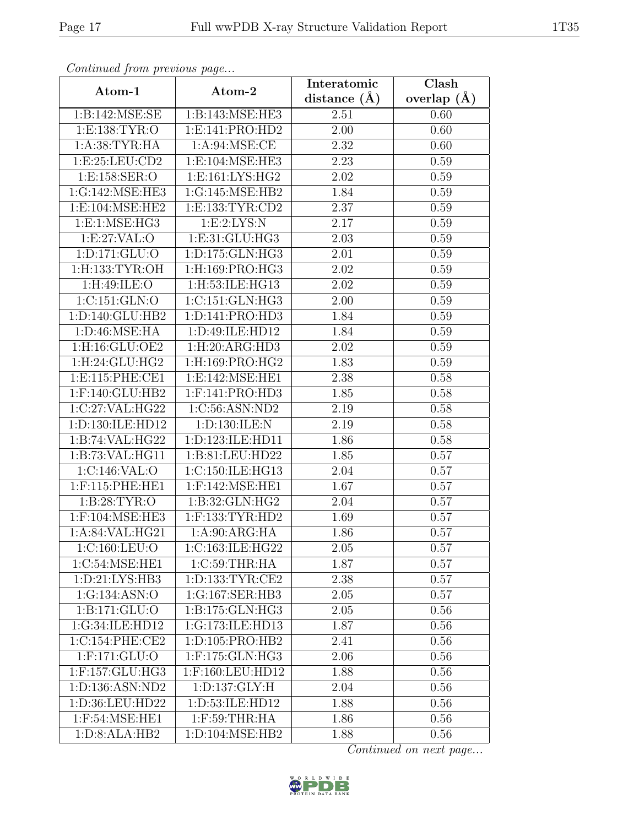| Continued from previous page |                     | Interatomic    | Clash         |
|------------------------------|---------------------|----------------|---------------|
| Atom-1                       | Atom-2              | distance $(A)$ | overlap $(A)$ |
| 1:B:142:MSE:SE               | 1:B:143:MSE:HE3     | 2.51           | 0.60          |
| 1: E: 138: TYR: O            | 1: E: 141: PRO: HD2 | 2.00           | 0.60          |
| 1: A:38: TYR: HA             | 1: A:94: MSE:CE     | 2.32           | 0.60          |
| 1: E:25: LEU:CD2             | 1:E:104:MSE:HE3     | 2.23           | 0.59          |
| 1:E:158:SER:O                | 1:E:161:LYS:HG2     | 2.02           | 0.59          |
| 1:G:142:MSE:HE3              | 1:G:145:MSE:HB2     | 1.84           | 0.59          |
| 1:E:104:MSE:HE2              | 1:E:133:TYR:CD2     | 2.37           | 0.59          |
| 1: E: 1: MSE: HG3            | 1:E:2:LYS:N         | 2.17           | 0.59          |
| 1:E:27:VAL:O                 | 1:E:31:GLU:HG3      | 2.03           | 0.59          |
| 1: D: 171: GLU: O            | 1:D:175:GLN:HG3     | 2.01           | 0.59          |
| $1:$ H:133:TYR:OH            | 1:H:169:PRO:HG3     | 2.02           | 0.59          |
| 1:H:49:ILE:O                 | 1:H:53:ILE:HG13     | 2.02           | 0.59          |
| 1:C:151:GLN:O                | 1:C:151:GLN:HG3     | 2.00           | 0.59          |
| 1:D:140:GLU:HB2              | 1:D:141:PRO:HD3     | 1.84           | 0.59          |
| 1: D:46: MSE: HA             | 1:D:49:ILE:HD12     | 1.84           | 0.59          |
| 1:H:16:GLU:OE2               | 1: H:20: ARG:HD3    | 2.02           | 0.59          |
| 1:H:24:GLU:HG2               | 1:H:169:PRO:HG2     | 1.83           | 0.59          |
| 1: E:115: PHE: CE1           | 1:E:142:MSE:HE1     | 2.38           | 0.58          |
| 1:F:140:GLU:HB2              | 1:F:141:PRO:HD3     | 1.85           | 0.58          |
| 1:C:27:VAL:HG22              | 1:C:56:ASN:ND2      | 2.19           | 0.58          |
| 1:D:130:ILE:HD12             | 1:D:130:ILE:N       | 2.19           | 0.58          |
| 1:B:74:VAL:HG22              | 1:D:123:ILE:HD11    | 1.86           | 0.58          |
| 1:B:73:VAL:HG11              | 1:B:81:LEU:HD22     | 1.85           | 0.57          |
| 1:C:146:VAL:O                | 1:C:150:ILE:HG13    | 2.04           | 0.57          |
| $1:$ F:115:PHE:HE1           | $1:$ F:142:MSE:HE1  | 1.67           | 0.57          |
| 1: B:28:TYR:O                | 1:B:32:GLN:HG2      | 2.04           | 0.57          |
| $1:$ F:104:MSE:HE3           | $1:$ F:133:TYR:HD2  | 1.69           | 0.57          |
| 1:A:84:VAL:HG21              | 1: A:90: ARG:HA     | 1.86           | 0.57          |
| 1:C:160:LEU:O                | 1:C:163:ILE:HG22    | 2.05           | 0.57          |
| 1:C:54:MSE:HE1               | 1:C:59:THR:HA       | 1.87           | 0.57          |
| 1: D:21: LYS: HB3            | 1: D: 133: TYR: CE2 | 2.38           | 0.57          |
| 1:G:134:ASN:O                | 1:G:167:SER:HB3     | 2.05           | 0.57          |
| 1:B:171:GLU:O                | 1:B:175:GLN:HG3     | 2.05           | 0.56          |
| 1:G:34:ILE:HD12              | 1:G:173:ILE:HD13    | 1.87           | 0.56          |
| 1:C:154:PHE:CE2              | 1: D: 105: PRO: HB2 | 2.41           | 0.56          |
| $1:$ F:171:GLU:O             | $1:$ F:175:GLN:HG3  | 2.06           | 0.56          |
| 1:F:157:GLU:HG3              | 1:F:160:LEU:HD12    | 1.88           | 0.56          |
| 1:D:136:ASN:ND2              | 1: D: 137: GLY: H   | 2.04           | 0.56          |
| 1:D:36:LEU:HD22              | 1:D:53:ILE:HD12     | 1.88           | 0.56          |
| 1:F:54:MSE:HE1               | $1:$ $F:59:THR:HA$  | 1.86           | 0.56          |
| 1:D:8:ALA:HB2                | 1:D:104:MSE:HB2     | 1.88           | 0.56          |

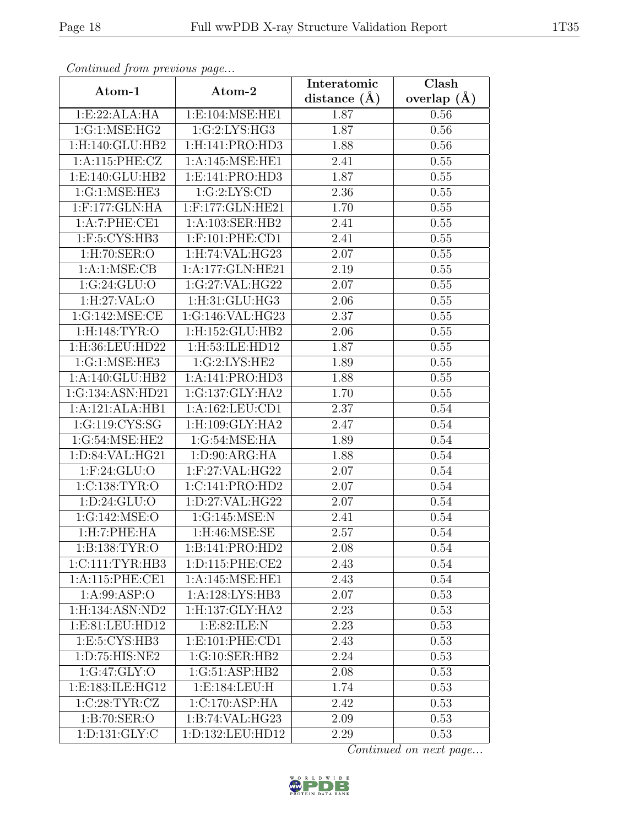| Continua from previous page |                     | Interatomic      | $\overline{\text{Clash}}$ |
|-----------------------------|---------------------|------------------|---------------------------|
| Atom-1                      | Atom-2              | distance $(\AA)$ | overlap $(A)$             |
| 1:E:22:ALA:HA               | 1:E:104:MSE:HE1     | 1.87             | 0.56                      |
| 1:G:1:MSE:HG2               | 1:G:2:LYS:HG3       | 1.87             | 0.56                      |
| 1: H: 140: GLU: HB2         | 1: H:141: PRO:HD3   | 1.88             | $0.56\,$                  |
| 1:A:115:PHE:CZ              | 1: A:145: MSE: HE1  | 2.41             | 0.55                      |
| 1:E:140:GLU:HB2             | 1: E: 141: PRO: HD3 | 1.87             | 0.55                      |
| 1:G:1:MSE:HE3               | 1:G:2:LYS:CD        | 2.36             | 0.55                      |
| $1:$ F:177:GLN:HA           | 1:F:177:GLN:HE21    | 1.70             | 0.55                      |
| 1:A:7:PHE:CE1               | 1:A:103:SER:HB2     | 2.41             | 0.55                      |
| $1:$ F:5:CYS:HB3            | $1:$ F:101:PHE:CD1  | 2.41             | 0.55                      |
| $1:$ H $:70:$ SER $:$ O     | 1:H:74:VAL:HG23     | 2.07             | 0.55                      |
| 1: A:1: MSE: CB             | 1:A:177:GLN:HE21    | 2.19             | 0.55                      |
| 1:G:24:GLU:O                | 1:G:27:VAL:HG22     | 2.07             | 0.55                      |
| 1:H:27:VAL:O                | 1:H:31:GLU:HG3      | 2.06             | 0.55                      |
| 1:G:142:MSE:CE              | 1:G:146:VAL:HG23    | 2.37             | 0.55                      |
| 1:H:148:TYR:O               | 1:H:152:GLU:HB2     | 2.06             | 0.55                      |
| 1:H:36:LEU:HD22             | 1:H:53:ILE:HD12     | 1.87             | 0.55                      |
| 1:G:1:MSE:HE3               | 1:G:2:LYS:HE2       | 1.89             | 0.55                      |
| 1:A:140:GLU:HB2             | 1:A:141:PRO:HD3     | 1.88             | 0.55                      |
| 1:G:134:ASN:HD21            | 1:G:137:GLY:HA2     | 1.70             | 0.55                      |
| 1:A:121:ALA:HB1             | 1: A: 162: LEU: CD1 | 2.37             | 0.54                      |
| 1:G:119:CYS:SG              | 1:H:109:GLY:HA2     | 2.47             | 0.54                      |
| 1:G:54:MSE:HE2              | 1:G:54:MSE:HA       | 1.89             | 0.54                      |
| 1: D:84: VAL: HG21          | 1: D:90: ARG:HA     | 1.88             | 0.54                      |
| $1:$ F:24:GLU:O             | $1:$ F:27:VAL:HG22  | 2.07             | 0.54                      |
| 1:C:138:TYR:O               | 1:C:141:PRO:HD2     | 2.07             | 0.54                      |
| 1: D: 24: GLU:O             | 1:D:27:VAL:HG22     | 2.07             | 0.54                      |
| 1:G:142:MSE:O               | 1:G:145:MSE:N       | 2.41             | 0.54                      |
| 1: H: 7: PHE: HA            | $1:$ H:46:MSE:SE    | 2.57             | 0.54                      |
| 1:B:138:TYR:O               | 1:B:141:PRO:HD2     | 2.08             | 0.54                      |
| 1:CI11:TYR:HB3              | 1:D:115:PHE:CE2     | 2.43             | 0.54                      |
| 1:A:115:PHE:CE1             | 1: A:145: MSE: HE1  | 2.43             | 0.54                      |
| 1: A:99: ASP:O              | 1:A:128:LYS:HB3     | 2.07             | 0.53                      |
| 1:H:134:ASN:ND2             | 1:H:137:GLY:HA2     | 2.23             | 0.53                      |
| 1:E:81:LEU:HD12             | 1:E:82:ILE:N        | 2.23             | 0.53                      |
| 1:E:5:CYS:HB3               | 1: E: 101: PHE: CD1 | 2.43             | 0.53                      |
| 1:D:75:HIS:NE2              | 1:G:10:SER:HB2      | 2.24             | 0.53                      |
| 1:G:47:GLY:O                | 1:G:51:ASP:HB2      | 2.08             | 0.53                      |
| 1:E:183:ILE:HG12            | 1:E:184:LEU:H       | 1.74             | 0.53                      |
| 1:C:28:TYR:CZ               | 1:C:170:ASP:HA      | 2.42             | 0.53                      |
| 1:B:70:SER:O                | 1:B:74:VAL:HG23     | 2.09             | 0.53                      |
| 1: D: 131: GLY: C           | 1:D:132:LEU:HD12    | 2.29             | 0.53                      |

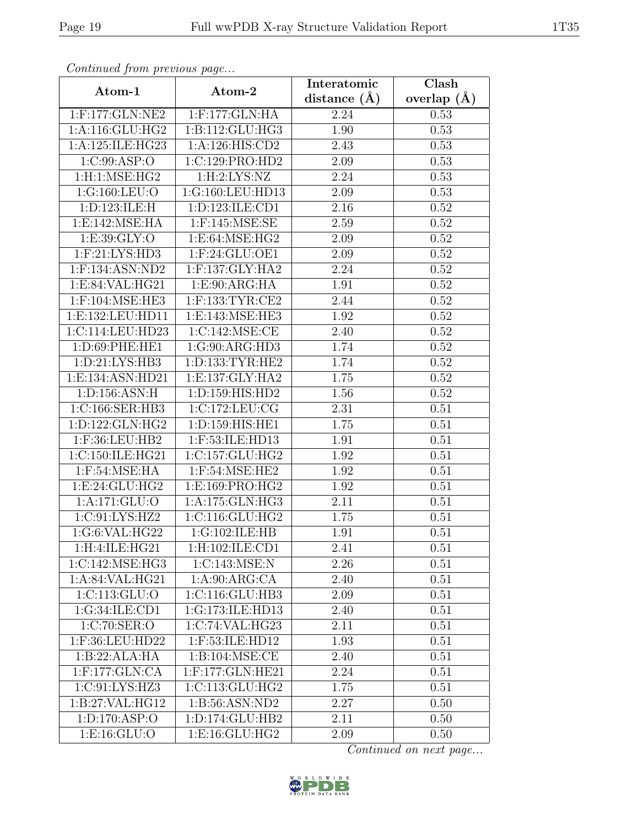| Continuea from previous page  |                              | Interatomic    | Clash         |
|-------------------------------|------------------------------|----------------|---------------|
| Atom-1                        | Atom-2                       | distance $(A)$ | overlap $(A)$ |
| 1:F:177:GLN:NE2               | 1:F:177:GLN:HA               | 2.24           | 0.53          |
| 1: A:116: GLU: HG2            | 1:B:112:GLU:HG3              | 1.90           | 0.53          |
| 1:A:125:ILE:HG23              | 1:A:126:HIS:CD2              | 2.43           | 0.53          |
| 1:C:99:ASP:O                  | 1:C:129:PRO:HD2              | 2.09           | 0.53          |
| 1:H:1:MSE:HG2                 | 1:H:2:LYS:NZ                 | 2.24           | 0.53          |
| 1:G:160:LEU:O                 | 1:G:160:LEU:HD13             | 2.09           | 0.53          |
| 1: D: 123: ILE: H             | 1: D: 123: ILE: CD1          | 2.16           | 0.52          |
| 1:E:142:MSE:HA                | $1:$ F:145:MSE:SE            | 2.59           | 0.52          |
| 1: E: 39: GLY:O               | 1: E:64: MSE:HG2             | 2.09           | 0.52          |
| $1:$ F: $21:LYS:HD3$          | $1:$ F:24:GLU:OE1            | 2.09           | 0.52          |
| $1:$ F:134:ASN:ND2            | $1:$ F:137:GLY:HA2           | 2.24           | 0.52          |
| 1:E:84:VAL:HG21               | 1:E:90:ARG:HA                | 1.91           | 0.52          |
| $1:$ F:104:MSE:HE3            | $1:$ F:133:TYR:CE2           | 2.44           | $0.52\,$      |
| 1:E:132:LEU:HD11              | 1:E:143:MSE:HE3              | 1.92           | 0.52          |
| 1:C:114:LEU:HD23              | 1:C:142:MSE:CE               | 2.40           | 0.52          |
| 1: D:69: PHE: HE1             | 1:G:90:ARG:HD3               | 1.74           | 0.52          |
| 1: D:21: LYS: HB3             | 1:D:133:TYR:HE2              | 1.74           | 0.52          |
| 1:E:134:ASN:HD21              | 1:E:137:GLY:HA2              | 1.75           | 0.52          |
| 1: D: 156: ASN: H             | 1:D:159:HIS:HD2              | 1.56           | 0.52          |
| 1:C:166:SER:HB3               | 1:C:172:LEU:CG               | 2.31           | 0.51          |
| 1:D:122:GLN:HG2               | 1:D:159:HIS:HE1              | 1.75           | 0.51          |
| 1:F:36:LEU:HB2                | 1:F:53:ILE:HD13              | 1.91           | 0.51          |
| 1:C:150:ILE:HG21              | 1:C:157:GLU:HG2              | 1.92           | 0.51          |
| $1:$ F:54:MSE:HA              | 1:F:54:MSE:HE2               | 1.92           | 0.51          |
| 1:E:24:GLU:HG2                | 1:E:169:PRO:HG2              | 1.92           | 0.51          |
| 1:A:171:GLU:O                 | 1:A:175:GLN:HG3              | 2.11           | 0.51          |
| 1:C:91:LYS:HZ2                | 1:C:116:GLU:HG2              | 1.75           | 0.51          |
| 1:G:6:VAL:HG22                | 1:G:102:ILE:HB               | 1.91           | 0.51          |
| 1:H:4:ILE:HG21                | 1:H:102:ILE:CD1              | 2.41           | 0.51          |
| 1:C:142:MSE:HG3               | 1:C:143:MSE:N                | 2.26           | 0.51          |
| 1: A:84:VAL:HG21              | 1: A:90: ARG:CA              | 2.40           | 0.51          |
| 1:C:113:GLU:O                 | 1:C:116:GLU:HB3              | 2.09           | 0.51          |
| 1:G:34:ILE:CD1                | 1:G:173:ILE:HD13             | 2.40           | 0.51          |
| $1: \overline{C:70:SER:O}$    | 1:C:74:VAL:HG23              | 2.11           | 0.51          |
| 1:F:36:LEU:HD22               | 1:F:53:ILE:HD12              | 1.93           | 0.51          |
| 1:B:22:ALA:HA                 | $1: \overline{B:104:MSE:CE}$ | 2.40           | 0.51          |
| 1:F:177:GLN:CA                | 1:F:177:GLN:HE21             | 2.24           | 0.51          |
| 1:C:91:LYS:HZ3                | 1:C:113:GLU:HG2              | 1.75           | 0.51          |
| 1:B:27:VAL:HG12               | 1:B:56:ASN:ND2               | 2.27           | 0.50          |
| $1: D: 170: \overline{ASP:O}$ | 1:D:174:GLU:HB2              | 2.11           | 0.50          |
| 1:E:16:GLU:O                  | 1:E:16:GLU:HG2               | 2.09           | 0.50          |

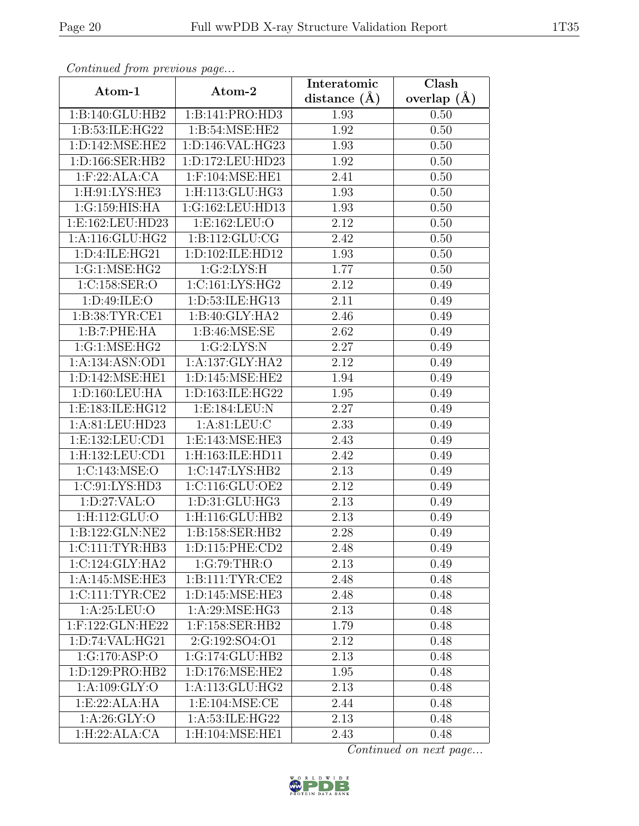| Continued from previous page |                                            | Interatomic       | $\overline{\text{Clash}}$ |  |
|------------------------------|--------------------------------------------|-------------------|---------------------------|--|
| Atom-1                       | Atom-2                                     | distance $(A)$    | overlap $(A)$             |  |
| 1:B:140:GLU:HB2              | 1:B:141:PRO:HD3                            | 1.93              | 0.50                      |  |
| 1:B:53:ILE:HG22              | 1:B:54:MSE:HE2                             | 1.92              | 0.50                      |  |
| 1: D: 142: MSE: HE2          | 1: D: 146: VAL: HG23                       | 1.93              | 0.50                      |  |
| 1:D:166:SER:HB2              | 1:D:172:LEU:HD23                           | 1.92              | 0.50                      |  |
| 1: F:22: ALA:CA              | $1:$ F:104:MSE:HE1                         | 2.41              | 0.50                      |  |
| 1:H:91:LYS:HE3               | 1: H: 113: GLU: HG3                        | 1.93              | 0.50                      |  |
| 1:G:159:HIS:HA               | 1:G:162:LEU:HD13                           | 1.93              | 0.50                      |  |
| 1:E:162:LEU:HD23             | 1:E:162:LEU:O                              | 2.12              | 0.50                      |  |
| 1: A:116: GLU: HG2           | 1: B: 112: GLU: CG                         | 2.42              | 0.50                      |  |
| 1:D:4:ILE:HG21               | 1:D:102:ILE:HD12                           | 1.93              | 0.50                      |  |
| 1:G:1:MSE:HG2                | 1:G:2:LYS:H                                | 1.77              | 0.50                      |  |
| 1:C:158:SER:O                | 1:C:161:LYS:HG2                            | 2.12              | 0.49                      |  |
| 1: D: 49: ILE: O             | 1:D:53:ILE:HG13                            | 2.11              | 0.49                      |  |
| 1:B:38:TYR:CE1               | 1:B:40:GLY:HA2                             | 2.46              | 0.49                      |  |
| 1:B:7:PHE:HA                 | 1: B:46: MSE:SE                            | 2.62              | 0.49                      |  |
| 1:G:1:MSE:HG2                | 1:G:2:LYS:N                                | 2.27              | 0.49                      |  |
| 1:A:134:ASN:OD1              | 1:A:137:GLY:HA2                            | 2.12              | 0.49                      |  |
| 1: D: 142: MSE: HE1          | 1: D: 145: MSE: HE2                        | 1.94              | 0.49                      |  |
| 1:D:160:LEU:HA               | 1:D:163:ILE:HG22                           | 1.95              | 0.49                      |  |
| 1:E:183:ILE:HG12             | 1:E:184:LEU:N                              | 2.27              | 0.49                      |  |
| 1:A:81:LEU:HD23              | 1: A:81: LEU: C                            | 2.33              | 0.49                      |  |
| 1:E:132:LEU:CD1              | 1:E:143:MSE:HE3                            | 2.43              | 0.49                      |  |
| 1:H:132:LEU:CD1              | 1:H:163:ILE:HD11                           | 2.42              | 0.49                      |  |
| 1:C:143:MSE:O                | 1:C:147:LYS:HB2                            | 2.13              | 0.49                      |  |
| 1:C:91:LYS:HD3               | 1:C:116:GLU:OE2                            | 2.12              | 0.49                      |  |
| 1:D:27:VAL:O                 | 1: D: 31: GLU: HG3                         | $\overline{2}.13$ | 0.49                      |  |
| 1:H:112:GLU:O                | 1:H:116:GLU:HB2                            | 2.13              | 0.49                      |  |
| 1:B:122:GLN:NE2              | 1:B:158:SER:HB2                            | 2.28              | 0.49                      |  |
| 1:CI11:TYR:HB3               | 1: D: 115: PHE: CD2                        | 2.48              | 0.49                      |  |
| 1:C:124:GLY:HA2              | 1:G:79:THR:O                               | 2.13              | 0.49                      |  |
| 1: A:145: MSE:HE3            | 1: B: 111: TYR: CE2                        | 2.48              | 0.48                      |  |
| 1:C:111:TYR:CE2              | 1:D:145:MSE:HE3                            | 2.48              | 0.48                      |  |
| 1: A:25:LEU:O                | 1:A:29:MSE:HG3                             | 2.13              | 0.48                      |  |
| 1:F:122:GLN:HE22             | 1:F:158:SER:HB2                            | 1.79              | 0.48                      |  |
| 1: D: 74: VAL: HG21          | 2:G:192:SO4:O1                             | 2.12              | 0.48                      |  |
| 1:G:170:ASP:O                | 1:G:174:GLU:HB2                            | 2.13              | 0.48                      |  |
| 1: D: 129: PRO: HB2          | 1:D:176:MSE:HE2                            | 1.95              | 0.48                      |  |
| 1:A:109:GLY:O                | 1: A:113: GLU: HG2                         | 2.13              | 0.48                      |  |
| 1: E: 22: ALA: HA            | 1: E: 104: MSE: CE                         | 2.44              | 0.48                      |  |
| 1:A:26:GLY:O                 | 1:A:53:ILE:HG22                            | 2.13              | 0.48                      |  |
| 1:H:22:ALA:CA                | $1:H:104:\overline{\text{MSE}:\text{HE1}}$ | 2.43              | 0.48                      |  |

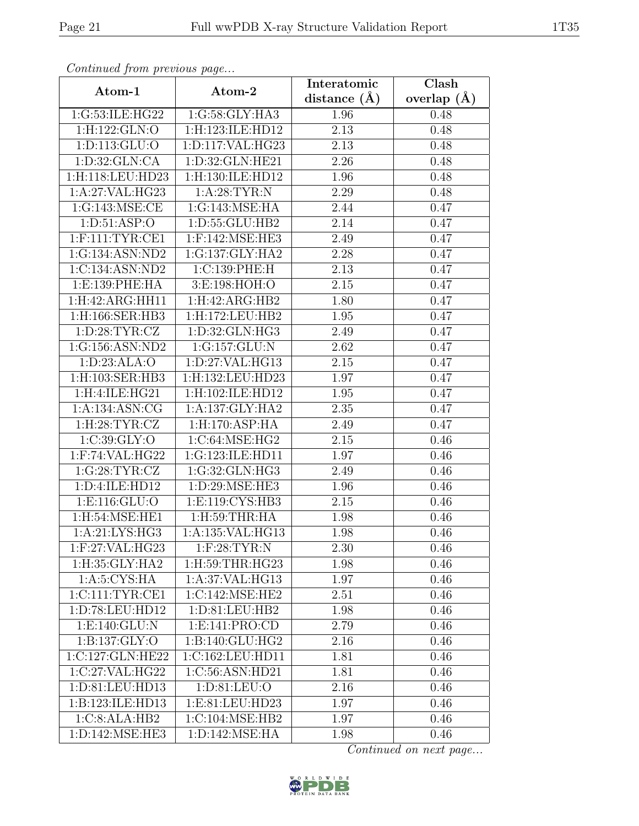| Continuea from previous page |                          | Interatomic       | $\overline{\text{Clash}}$ |  |
|------------------------------|--------------------------|-------------------|---------------------------|--|
| Atom-1                       | Atom-2                   | distance $(A)$    | overlap $(A)$             |  |
| 1:G:53:ILE:HG22              | 1:G:58:GLY:HA3           | 1.96              | 0.48                      |  |
| 1:H:122:GLN:O                | 1:H:123:ILE:HD12         | $\overline{2.13}$ | 0.48                      |  |
| 1: D: 113: GLU: O            | 1:D:117:VAL:HG23         | 2.13              | 0.48                      |  |
| 1: D:32: GLN:CA              | 1:D:32:GLN:HE21          | 2.26              | 0.48                      |  |
| 1:H:118:LEU:HD23             | 1:H:130:ILE:HD12         | 1.96              | 0.48                      |  |
| 1:A:27:VAL:HG23              | 1: A:28:TYR:N            | 2.29              | 0.48                      |  |
| 1:G:143:MSE:CE               | 1:G:143:MSE:HA           | 2.44              | 0.47                      |  |
| 1: D: 51: ASP: O             | 1:D:55:GLU:HB2           | 2.14              | 0.47                      |  |
| $1:$ F:111:TYR:CE1           | $1:$ F:142:MSE:HE3       | 2.49              | 0.47                      |  |
| 1:G:134:ASN:ND2              | 1:G:137:GLY:HA2          | 2.28              | 0.47                      |  |
| 1:C:134:ASN:ND2              | 1:C:139:PHE:H            | 2.13              | 0.47                      |  |
| 1: E: 139: PHE: HA           | 3:E:198:HOH:O            | 2.15              | 0.47                      |  |
| 1:H:42:ARG:HH11              | 1: H:42: ARG:HB2         | 1.80              | 0.47                      |  |
| 1:H:166:SER:HB3              | $1:$ H:172:LEU:HB2       | 1.95              | 0.47                      |  |
| 1: D:28: TYR: CZ             | 1: D: 32: GLN: HG3       | 2.49              | 0.47                      |  |
| 1:G:156:ASN:ND2              | 1:G:157:GLU:N            | 2.62              | 0.47                      |  |
| 1: D: 23: ALA: O             | 1: D: 27: VAL: HG13      | 2.15              | 0.47                      |  |
| 1:H:103:SER:HB3              | 1:H:132:LEU:HD23         | 1.97              | 0.47                      |  |
| 1:H:4:ILE:HG21               | 1:H:102:ILE:HD12         | 1.95              | 0.47                      |  |
| 1:A:134:ASN:CG               | 1: A: 137: GLY: HA2      | 2.35              | 0.47                      |  |
| 1:H:28:TYR:CZ                | 1:H:170:ASP:HA           | 2.49              | 0.47                      |  |
| 1:C:39:GLY:O                 | 1:C:64:MSE:HG2           | 2.15              | 0.46                      |  |
| 1:F:74:VAL:HG22              | 1:G:123:ILE:HD11         | 1.97              | 0.46                      |  |
| 1:G:28:TYR:CZ                | 1:G:32:GLN:HG3           | 2.49              | 0.46                      |  |
| 1:D:4:ILE:HD12               | 1:D:29:MSE:HE3           | 1.96              | 0.46                      |  |
| 1: E: 116: GLU:O             | 1:E:119:CYS:HB3          | 2.15              | 0.46                      |  |
| 1:H:54:MSE:HE1               | $1:$ H $:59:$ THR $:$ HA | 1.98              | 0.46                      |  |
| 1:A:21:LYS:HG3               | 1:A:135:VAL:HG13         | 1.98              | 0.46                      |  |
| 1:F:27:VAL:HG23              | $1:$ F:28:TYR:N          | 2.30              | 0.46                      |  |
| 1:H:35:GLY:HA2               | 1: H:59: THR: HG23       | 1.98              | 0.46                      |  |
| 1: A:5: CYS: HA              | 1:A:37:VAL:HG13          | 1.97              | 0.46                      |  |
| 1:C:111:TYR:CE1              | 1:C:142:MSE:HE2          | 2.51              | 0.46                      |  |
| 1: D: 78: LEU: HD12          | 1: D: 81: LEU: HB2       | 1.98              | 0.46                      |  |
| 1:E:140:GLU:N                | 1:E:141:PRO:CD           | 2.79              | 0.46                      |  |
| 1:B:137:GLY:O                | 1:B:140:GLU:HG2          | 2.16              | 0.46                      |  |
| 1:C:127:GLN:HE22             | 1:C:162:LEU:HD11         | 1.81              | 0.46                      |  |
| 1:C:27:VAL:HG22              | 1:C:56:ASN:HD21          | 1.81              | 0.46                      |  |
| 1:D:81:LEU:HD13              | 1:D:81:LEU:O             | 2.16              | 0.46                      |  |
| 1:B:123:ILE:HD13             | 1:E:81:LEU:HD23          | 1.97              | 0.46                      |  |
| 1:C:8:ALA:HB2                | 1:C:104:MSE:HB2          | 1.97              | 0.46                      |  |
| 1:D:142:MSE:HE3              | 1:D:142:MSE:HA           | 1.98              | 0.46                      |  |

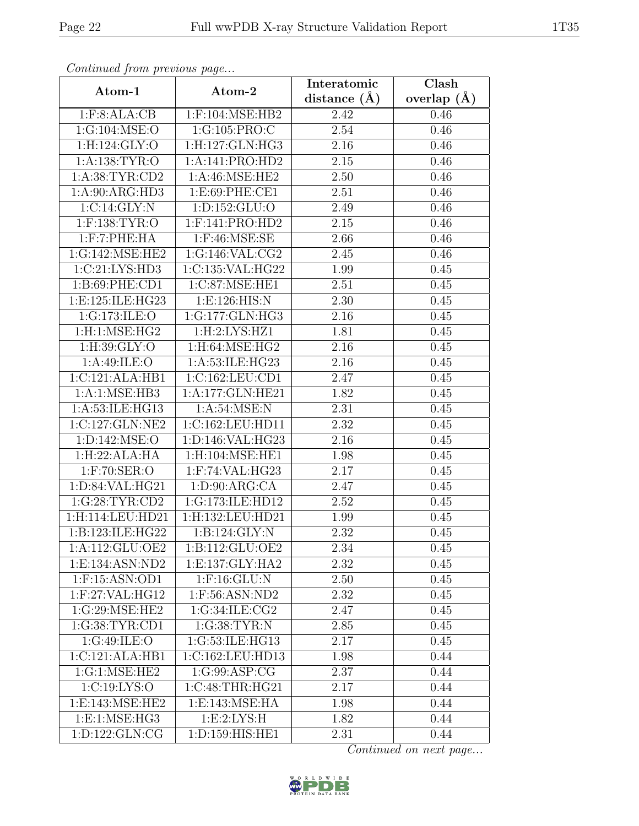| Continuea from previous page |                                                       | Interatomic    | Clash         |  |
|------------------------------|-------------------------------------------------------|----------------|---------------|--|
| Atom-1                       | Atom-2                                                | distance $(A)$ | overlap $(A)$ |  |
| 1: F: 8: ALA: CB             | 1:F:104:MSE:HB2                                       | 2.42           | 0.46          |  |
| 1:G:104:MSE:O                | 1:G:105:PRO:C                                         | 2.54           | 0.46          |  |
| 1:H:124:GLY:O                | 1:H:127:GLN:HG3                                       | 2.16           | 0.46          |  |
| 1:A:138:TYR:O                | 1:A:141:PRO:HD2                                       | 2.15           | 0.46          |  |
| 1:A:38:TYR:CD2               | 1:A:46:MSE:HE2                                        | 2.50           | 0.46          |  |
| 1:A:90:ARG:HD3               | 1:E:69:PHE:CE1                                        | 2.51           | 0.46          |  |
| 1:C:14:GLY:N                 | 1:D:152:GLU:O                                         | 2.49           | 0.46          |  |
| $1:$ F:138:TYR:O             | $1:$ F:141:PRO:HD2                                    | 2.15           | 0.46          |  |
| $1:$ F: $7:$ PHE: $HA$       | $1:$ F:46:MSE:SE                                      | 2.66           | 0.46          |  |
| 1:G:142:MSE:HE2              | $1:G:146:\overline{\text{VAL}:C}\overline{\text{G2}}$ | 2.45           | 0.46          |  |
| 1:C:21:LYS:HD3               | 1:C:135:VAL:HG22                                      | 1.99           | 0.45          |  |
| 1:B:69:PHE:CD1               | 1:C:87:MSE:HE1                                        | 2.51           | 0.45          |  |
| 1:E:125:ILE:HG23             | 1: E: 126: HIS: N                                     | 2.30           | 0.45          |  |
| 1:G:173:ILE:O                | 1:G:177:GLN:HG3                                       | 2.16           | 0.45          |  |
| 1:H:1:MSE:HG2                | 1:H:2:LYS:HZ1                                         | 1.81           | 0.45          |  |
| 1:H:39:GLY:O                 | $1:$ H:64:MSE:HG2                                     | 2.16           | 0.45          |  |
| 1: A:49: ILE: O              | 1:A:53:ILE:HG23                                       | 2.16           | 0.45          |  |
| 1:C:121:ALA:HB1              | 1:C:162:LEU:CD1                                       | 2.47           | 0.45          |  |
| 1:A:1:MSE:HB3                | 1:A:177:GLN:HE21                                      | 1.82           | 0.45          |  |
| 1:A:53:ILE:HG13              | 1: A:54: MSE:N                                        | 2.31           | 0.45          |  |
| 1:C:127:GLN:NE2              | 1:C:162:LEU:HD11                                      | 2.32           | 0.45          |  |
| 1: D: 142: MSE: O            | 1:D:146:VAL:HG23                                      | 2.16           | 0.45          |  |
| 1:H:22:ALA:HA                | 1:H:104:MSE:HE1                                       | 1.98           | 0.45          |  |
| $1:$ F:70:SER:O              | 1:F:74:VAL:HG23                                       | 2.17           | 0.45          |  |
| 1:D:84:VAL:HG21              | 1: D:90: ARG:CA                                       | 2.47           | 0.45          |  |
| 1:G:28:TYR:CD2               | 1:G:173:ILE:HD12                                      | 2.52           | 0.45          |  |
| 1:H:114:LEU:HD21             | 1:H:132:LEU:HD21                                      | 1.99           | 0.45          |  |
| 1:B:123:ILE:HG22             | 1:B:124:GLY:N                                         | 2.32           | 0.45          |  |
| 1:A:112:GLU:OE2              | 1:B:112:GLU:OE2                                       | 2.34           | 0.45          |  |
| 1:E:134:ASN:ND2              | 1: E: 137: GLY: HA2                                   | 2.32           | 0.45          |  |
| $1:$ F:15:ASN:OD1            | $1:$ F:16: $GLU:$ N                                   | 2.50           | 0.45          |  |
| $1:$ F:27:VAL:HG12           | 1:F:56:ASN:ND2                                        | 2.32           | 0.45          |  |
| 1:G:29:MSE:HE2               | 1:G:34:ILE:CG2                                        | 2.47           | 0.45          |  |
| 1:G:38:TYR:CD1               | 1:G:38:TYR:N                                          | 2.85           | 0.45          |  |
| 1:G:49:ILE:O                 | 1:G:53:ILE:HG13                                       | 2.17           | 0.45          |  |
| 1:C:121:ALA:HB1              | 1:C:162:LEU:HD13                                      | 1.98           | 0.44          |  |
| 1:G:1:MSE:HE2                | 1:G:99:ASP:CG                                         | 2.37           | 0.44          |  |
| 1:C:19:LYS:O                 | 1:C:48:THR:HG21                                       | 2.17           | 0.44          |  |
| 1: E: 143: MSE: HE2          | 1:E:143:MSE:HA                                        | 1.98           | 0.44          |  |
| 1:E:1:MSE:HG3                | 1:E:2:LYS:H                                           | 1.82           | 0.44          |  |
| 1:D:122:GLN:CG               | $1: D: 159: H \overline{IS:H} \overline{E1}$          | 2.31           | 0.44          |  |

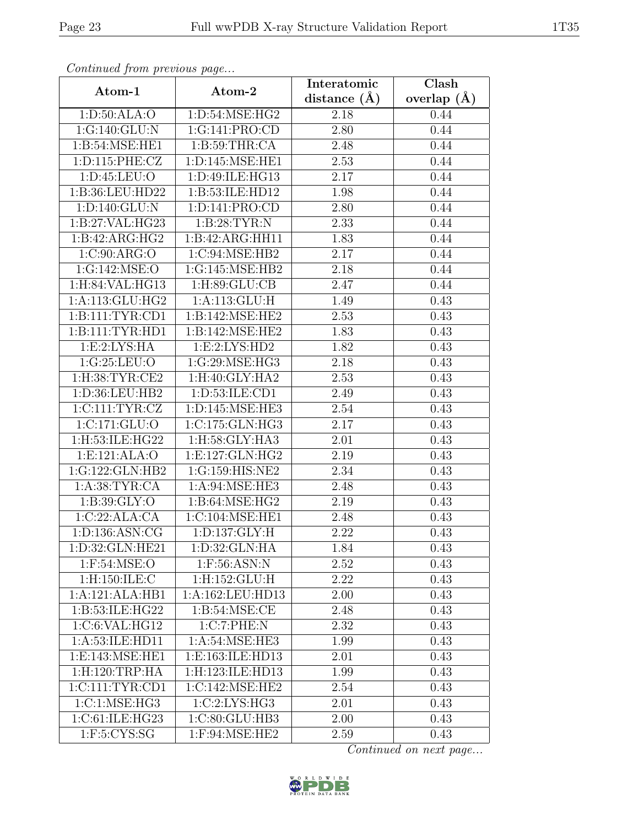| Continued from previous page |                   | Interatomic    | Clash             |
|------------------------------|-------------------|----------------|-------------------|
| Atom-1                       | Atom-2            | distance $(A)$ | overlap $(A)$     |
| 1: D:50: ALA:O               | 1:D:54:MSE:HG2    | 2.18           | 0.44              |
| 1:G:140:GLU:N                | 1:G:141:PRO:CD    | 2.80           | 0.44              |
| 1:B:54:MSE:HE1               | 1: B:59:THR:CA    | 2.48           | 0.44              |
| 1:D:115:PHE:CZ               | 1:D:145:MSE:HE1   | 2.53           | $\overline{0.44}$ |
| 1: D: 45: LEU: O             | 1:D:49:ILE:HG13   | 2.17           | 0.44              |
| 1:B:36:LEU:HD22              | 1:B:53:ILE:HD12   | 1.98           | 0.44              |
| 1: D: 140: GLU: N            | 1:D:141:PRO:CD    | 2.80           | 0.44              |
| 1:B:27:VAL:HG23              | 1:B:28:TYR:N      | 2.33           | 0.44              |
| 1:B:42:ARG:HG2               | 1:B:42:ARG:HH11   | 1.83           | 0.44              |
| 1:C:90:ARG:O                 | 1:C:94:MSE:HB2    | 2.17           | 0.44              |
| 1:G:142:MSE:O                | 1:G:145:MSE:HB2   | 2.18           | 0.44              |
| 1:H:84:VAL:HG13              | 1: H:89: GLU:CB   | 2.47           | 0.44              |
| 1: A:113: GLU: HG2           | 1:A:113:GLU:H     | 1.49           | 0.43              |
| 1: B: 111: TYR: CD1          | 1:B:142:MSE:HE2   | 2.53           | 0.43              |
| 1:B:111:TYR:HDI              | 1:B:142:MSE:HE2   | 1.83           | 0.43              |
| 1: E: 2: LYS: HA             | 1: E: 2: LYS: HD2 | 1.82           | 0.43              |
| 1:G:25:LEU:O                 | 1:G:29:MSE:HG3    | 2.18           | 0.43              |
| 1:H:38:TYR:CE2               | 1:H:40:GLY:HA2    | 2.53           | 0.43              |
| 1:D:36:LEU:HB2               | 1:D:53:ILE:CD1    | 2.49           | 0.43              |
| 1:CI111:TYR:CZ               | 1:D:145:MSE:HE3   | 2.54           | 0.43              |
| 1: C: 171: GLU:O             | 1:C:175:GLN:HG3   | 2.17           | 0.43              |
| 1:H:53:ILE:HG22              | 1:H:58:GLY:HA3    | 2.01           | 0.43              |
| 1:E:121:ALA:O                | 1:E:127:GLN:HG2   | 2.19           | 0.43              |
| 1:G:122:GLN:HB2              | 1:G:159:HIS:NE2   | 2.34           | 0.43              |
| 1: A:38:TYR:CA               | 1:A:94:MSE:HE3    | 2.48           | 0.43              |
| 1: B:39: GLY:O               | 1: B:64: MSE: HG2 | 2.19           | 0.43              |
| 1:C:22:ALA:CA                | 1:C:104:MSE:HE1   | 2.48           | 0.43              |
| 1:D:136:ASN:CG               | 1: D: 137: GLY: H | 2.22           | 0.43              |
| 1:D:32:GLN:HE21              | 1:D:32:GLN:HA     | 1.84           | 0.43              |
| $1:$ F:54:MSE:O              | $1:$ F:56:ASN:N   | 2.52           | 0.43              |
| 1:H:150:ILE:C                | 1: H: 152: GLU: H | 2.22           | 0.43              |
| 1:A:121:ALA:HB1              | 1:A:162:LEU:HD13  | 2.00           | 0.43              |
| 1: B: 53: ILE: HG22          | 1: B:54: MSE:CE   | 2.48           | 0.43              |
| 1:C:6:VAL:HG12               | 1:C:7:PHE:N       | $2.32\,$       | 0.43              |
| 1: A:53: ILE: HD11           | 1: A:54: MSE:HE3  | 1.99           | 0.43              |
| 1:E:143:MSE:HE1              | 1:E:163:ILE:HD13  | 2.01           | 0.43              |
| 1:H:120:TRP:HA               | 1:H:123:ILE:HD13  | 1.99           | 0.43              |
| 1: C: 111: TYR: CD1          | 1:C:142:MSE:HE2   | 2.54           | 0.43              |
| 1: C: 1: MSE: HG3            | 1:C:2:LYS:HG3     | 2.01           | 0.43              |
| 1:C:61:ILE:HG23              | 1:C:80:GLU:HB3    | 2.00           | 0.43              |
| $1:$ F:5:CYS:SG              | 1:F:94:MSE:HE2    | 2.59           | 0.43              |

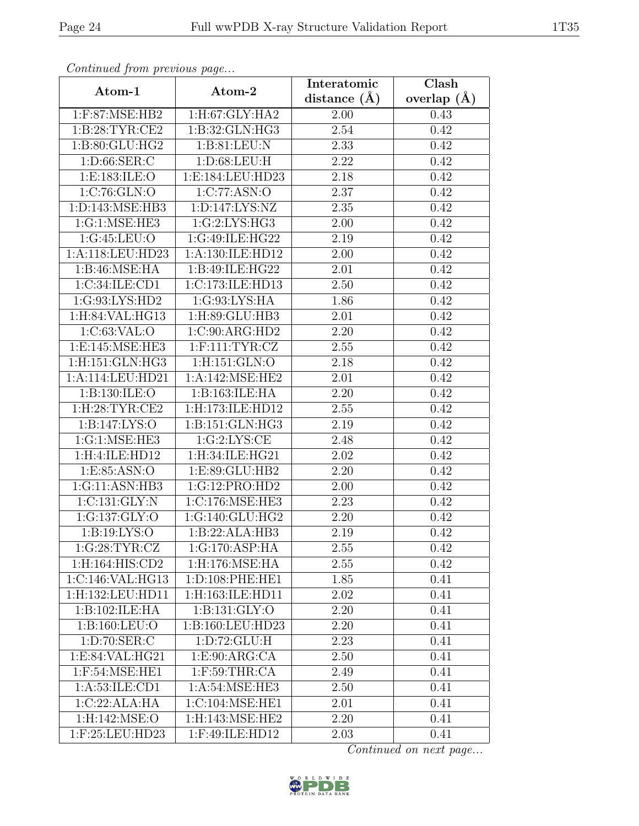| Continua from previous page |                    | Interatomic | Clash           |
|-----------------------------|--------------------|-------------|-----------------|
| Atom-1                      | Atom-2             |             | overlap $(\AA)$ |
| 1:F:87:MSE:HB2              | 1:H:67:GLY:HA2     | 2.00        | 0.43            |
| 1: B:28:TYR:CE2             | 1:B:32:GLN:HG3     | 2.54        | 0.42            |
| 1: B:80: GLU: HG2           | 1: B:81:LEU: N     | 2.33        | 0.42            |
| 1: D:66: SER: C             | 1: D:68: LEU: H    | 2.22        | 0.42            |
| 1: E: 183: ILE: O           | 1:E:184:LEU:HD23   | 2.18        | 0.42            |
| 1:C:76:GLN:O                | 1:C:77:ASN:O       | 2.37        | 0.42            |
| 1:D:143:MSE:HB3             | 1:D:147:LYS:NZ     | 2.35        | 0.42            |
| 1:G:1:MSE:HE3               | 1:G:2:LYS:HG3      | 2.00        | 0.42            |
| 1:G:45:LEU:O                | 1:G:49:ILE:HG22    | 2.19        | 0.42            |
| 1:A:118:LEU:HD23            | 1:A:130:ILE:HD12   | 2.00        | 0.42            |
| 1:B:46:MSE:HA               | 1:B:49:ILE:HG22    | 2.01        | 0.42            |
| 1:C:34:ILE:CD1              | 1:C:173:ILE:HD13   | 2.50        | 0.42            |
| 1:G:93:LYS:HD2              | 1:G:93:LYS:HA      | 1.86        | 0.42            |
| $1:$ H:84:VAL:HG13          | 1:H:89:GLU:HB3     | 2.01        | 0.42            |
| 1:C:63:VAL:O                | 1:C:90:ARG:HD2     | 2.20        | 0.42            |
| 1:E:145:MSE:HE3             | $1:$ F:111:TYR:CZ  | 2.55        | 0.42            |
| 1:H:151:GLN:HG3             | 1:H:151:GLN:O      | 2.18        | 0.42            |
| 1:A:114:LEU:HD21            | 1: A:142: MSE: HE2 | 2.01        | 0.42            |
| 1:B:130:ILE:O               | 1:B:163:ILE:HA     | 2.20        | 0.42            |
| 1:H:28:TYR:CE2              | 1:H:173:ILE:HD12   | 2.55        | 0.42            |
| 1:B:147:LYS:O               | 1:B:151:GLN:HG3    | 2.19        | 0.42            |
| 1:G:1:MSE:HE3               | 1:G:2:LYS:CE       | 2.48        | 0.42            |
| 1:H:4:ILE:HD12              | 1:H:34:ILE:HG21    | 2.02        | 0.42            |
| 1: E: 85: ASN: O            | 1:E:89:GLU:HB2     | 2.20        | 0.42            |
| 1:G:11:ASN:HB3              | 1:G:12:PRO:HD2     | 2.00        | 0.42            |
| 1:C:131:GLY:N               | 1:C:176:MSE:HE3    | 2.23        | 0.42            |
| 1:G:137:GLY:O               | 1:G:140:GLU:HG2    | 2.20        | 0.42            |
| 1: B: 19: LYS: O            | 1:B:22:ALA:HB3     | 2.19        | 0.42            |
| 1:G:28:TYR:CZ               | 1:G:170:ASP:HA     | 2.55        | 0.42            |
| 1:H:164:HIS:CD2             | 1:H:176:MSE:HA     | 2.55        | 0.42            |
| 1:C:146:VAL:HG13            | 1:D:108:PHE:HE1    | 1.85        | 0.41            |
| 1:H:132:LEU:HD11            | 1:H:163:ILE:HD11   | 2.02        | 0.41            |
| 1:B:102:ILE:HA              | 1: B: 131: GLY: O  | 2.20        | 0.41            |
| 1:B:160:LEU:O               | 1:B:160:LEU:HD23   | 2.20        | 0.41            |
| 1: D: 70: SER: C            | 1: D: 72: GLU: H   | 2.23        | 0.41            |
| 1:E:84:VAL:HG21             | 1:E:90:ARG:CA      | 2.50        | 0.41            |
| $1:$ F:54:MSE:HE1           | $1:$ F:59:THR:CA   | 2.49        | 0.41            |
| 1:A:53:ILE:CD1              | 1:A:54:MSE:HE3     | 2.50        | 0.41            |
| 1:C:22:ALA:HA               | 1:C:104:MSE:HE1    | 2.01        | 0.41            |
| 1:H:142:MSE:O               | 1:H:143:MSE:HE2    | 2.20        | 0.41            |
| 1:F:25:LEU:HD23             | 1:F:49:ILE:HD12    | 2.03        | 0.41            |

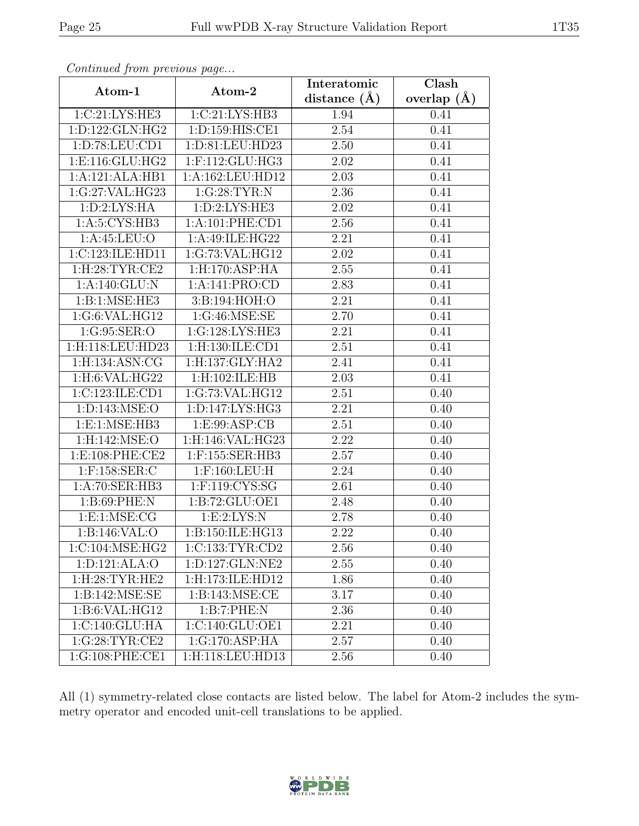| Continueu from pretious page |                            | Interatomic       | Clash         |  |
|------------------------------|----------------------------|-------------------|---------------|--|
| Atom-1                       | Atom-2                     | distance $(A)$    | overlap $(A)$ |  |
| 1:C:21:LYS:HE3               | 1:C:21:LYS:HB3             | 1.94              | 0.41          |  |
| 1:D:122:GLN:HG2              | 1:D:159:HIS:CE1            | 2.54              | 0.41          |  |
| 1: D: 78: LEU: CD1           | 1:D:81:LEU:HD23            | 2.50              | 0.41          |  |
| 1: E: 116: GLU: HG2          | 1:F:112:GLU:HG3            | 2.02              | 0.41          |  |
| 1:A:121:ALA:HB1              | 1:A:162:LEU:HD12           | 2.03              | 0.41          |  |
| 1:G:27:VAL:HG23              | 1:G:28:TYR:N               | 2.36              | 0.41          |  |
| 1: D:2: LYS: HA              | 1: D:2: LYS: HE3           | 2.02              | 0.41          |  |
| 1: A:5: CYS:HB3              | 1: A:101: PHE:CD1          | 2.56              | 0.41          |  |
| 1:A:45:LEU:O                 | 1:A:49:ILE:HG22            | 2.21              | 0.41          |  |
| 1:C:123:ILE:HD11             | 1:G:73:VAL:HG12            | 2.02              | 0.41          |  |
| 1:H:28:TYR:CE2               | 1:H:170:ASP:HA             | 2.55              | 0.41          |  |
| 1:A:140:GLU:N                | 1:A:141:PRO:CD             | 2.83              | 0.41          |  |
| 1:B:1:MSE:HE3                | 3:B:194:HOH:O              | 2.21              | 0.41          |  |
| 1:G:6:VAL:HG12               | $1:G:\overline{46:MSE:SE}$ | 2.70              | 0.41          |  |
| 1:G:95:SER:O                 | 1:G:128:LYS:HE3            | 2.21              | 0.41          |  |
| 1:H:118:LEU:HD23             | 1:H:130:ILE:CD1            | 2.51              | 0.41          |  |
| 1:H:134:ASN:CG               | 1:H:137:GLY:HA2            | 2.41              | 0.41          |  |
| 1:H:6:VAL:HG22               | 1:H:102:ILE:HB             | 2.03              | 0.41          |  |
| 1:C:123:ILE:CD1              | 1:G:73:VAL:HG12            | 2.51              | 0.40          |  |
| 1: D: 143: MSE: O            | 1: D: 147: LYS: HG3        | 2.21              | 0.40          |  |
| 1: E: 1: MSE: HB3            | 1: E: 99: ASP: CB          | 2.51              | 0.40          |  |
| 1:H:142:MSE:O                | 1:H:146:VAL:HG23           | 2.22              | 0.40          |  |
| 1: E:108: PHE:CE2            | 1:F:155:SER:HB3            | 2.57              | 0.40          |  |
| $1:$ F:158:SER:C             | $1:$ F:160:LEU:H           | $\overline{2.24}$ | 0.40          |  |
| 1:A:70:SER:HB3               | 1:F:119:CYS:SG             | 2.61              | 0.40          |  |
| 1: B:69: PHE: N              | 1: B: 72: GLU: OE1         | 2.48              | 0.40          |  |
| 1: E: 1: MSE: CG             | 1: E: 2: LYS: N            | 2.78              | 0.40          |  |
| 1:B:146:VAL:O                | 1:B:150:ILE:HG13           | 2.22              | 0.40          |  |
| 1:C:104:MSE:HG2              | 1:C:133:TYR:CD2            | 2.56              | 0.40          |  |
| 1:D:121:ALA:O                | 1:D:127:GLN:NE2            | 2.55              | 0.40          |  |
| 1:H:28:TYR:HE2               | 1:H:173:ILE:HD12           | 1.86              | 0.40          |  |
| 1:B:142:MSE:SE               | 1:B:143:MSE:CE             | 3.17              | 0.40          |  |
| 1:B:6:VAL:HG12               | 1:B:7:PHE:N                | 2.36              | 0.40          |  |
| 1:C:140:GLU:HA               | 1:C:140:GLU:OE1            | 2.21              | 0.40          |  |
| 1:G:28:TYR:CE2               | 1:G:170:ASP:HA             | 2.57              | 0.40          |  |
| 1:G:108:PHE:CE1              | 1:H:118:LEU:HD13           | 2.56              | 0.40          |  |

All (1) symmetry-related close contacts are listed below. The label for Atom-2 includes the symmetry operator and encoded unit-cell translations to be applied.

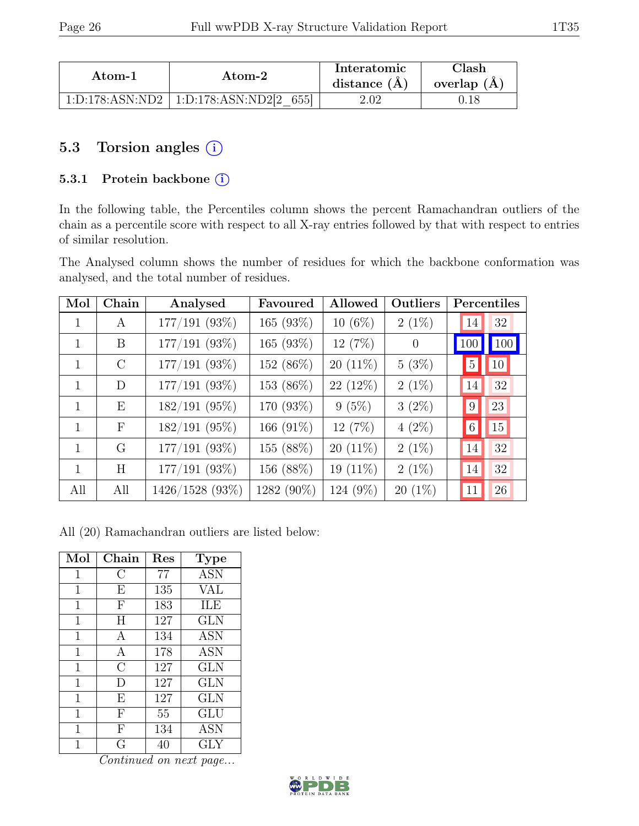| Atom-1 | Atom-2                                        | Interatomic<br>distance $(A)$ | ${\rm Class} h$<br>overlap $(A)$ |
|--------|-----------------------------------------------|-------------------------------|----------------------------------|
|        | $1:D:178:ASN:ND2 \mid 1:D:178:ASN:ND2[2 655]$ | 2.02                          |                                  |

### 5.3 Torsion angles  $(i)$

#### 5.3.1 Protein backbone (i)

In the following table, the Percentiles column shows the percent Ramachandran outliers of the chain as a percentile score with respect to all X-ray entries followed by that with respect to entries of similar resolution.

The Analysed column shows the number of residues for which the backbone conformation was analysed, and the total number of residues.

| Mol          | Chain        | Analysed        | Favoured     | Allowed    | Outliers  |                 | Percentiles     |
|--------------|--------------|-----------------|--------------|------------|-----------|-----------------|-----------------|
|              | A            | $177/191$ (93%) | 165 (93%)    | $10(6\%)$  | $2(1\%)$  | 14              | 32              |
|              | B            | 177/191 (93%)   | 165 (93%)    | 12(7%)     | $\theta$  | 100             | 100             |
| 1            | $\rm C$      | $177/191$ (93%) | 152 (86%)    | $20(11\%)$ | 5(3%)     | $5\,$           | 10 <sup>°</sup> |
| $\mathbf{1}$ | D            | $177/191$ (93%) | 153 (86%)    | 22 (12%)   | $2(1\%)$  | 14              | 32              |
| 1            | E            | $182/191$ (95%) | 170 (93%)    | $9(5\%)$   | $3(2\%)$  | $\vert 9 \vert$ | 23              |
| $\mathbf{1}$ | $\mathbf{F}$ | $182/191$ (95%) | 166 $(91\%)$ | 12(7%)     | $4(2\%)$  | 6               | 15              |
| 1            | G            | $177/191$ (93%) | 155 (88%)    | $20(11\%)$ | $2(1\%)$  | 14              | 32              |
| 1            | H            | $177/191$ (93%) | 156 (88%)    | 19 (11%)   | $2(1\%)$  | 14              | 32              |
| All          | All          | 1426/1528 (93%) | 1282 (90%)   | 124 (9%)   | $20(1\%)$ | 11              | 26              |

All (20) Ramachandran outliers are listed below:

| Mol            | Chain          | Res | <b>Type</b> |
|----------------|----------------|-----|-------------|
| $\mathbf 1$    | С              | 77  | <b>ASN</b>  |
| 1              | E              | 135 | VAL         |
| $\mathbf 1$    | $\mathbf{F}$   | 183 | ILE         |
| $\overline{1}$ | Η              | 127 | <b>GLN</b>  |
| $\mathbf 1$    | A              | 134 | ASN         |
| $\mathbf 1$    | A              | 178 | <b>ASN</b>  |
| 1              | $\overline{C}$ | 127 | <b>GLN</b>  |
| 1              | D              | 127 | <b>GLN</b>  |
| $\mathbf 1$    | E              | 127 | GLN         |
| $\mathbf 1$    | $\mathbf{F}$   | 55  | GLU         |
| 1              | $\mathbf{F}$   | 134 | <b>ASN</b>  |
| 1              | Ğ              | 40  | $\rm GLY$   |

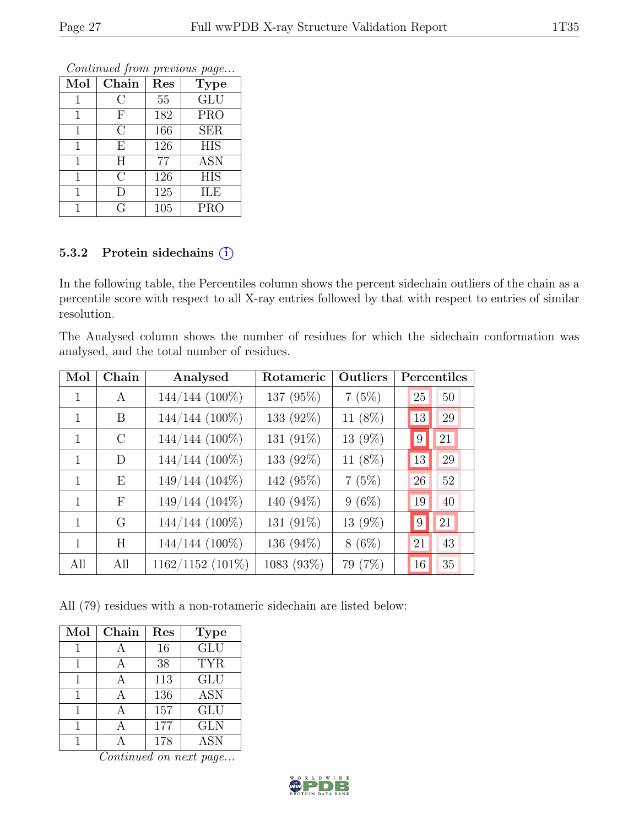Continued from previous page...

| Mol | Chain          | Res | <b>Type</b>      |
|-----|----------------|-----|------------------|
|     | С              | 55  | GLU              |
| 1   | F              | 182 | <b>PRO</b>       |
| 1   | C              | 166 | <b>SER</b>       |
| 1   | E              | 126 | <b>HIS</b>       |
| 1   | H              | 77  | $\overline{ASN}$ |
|     | $\overline{C}$ | 126 | <b>HIS</b>       |
| 1   | I)             | 125 | ILE              |
|     | G              | 105 | <b>PRO</b>       |

#### 5.3.2 Protein sidechains (i)

In the following table, the Percentiles column shows the percent sidechain outliers of the chain as a percentile score with respect to all X-ray entries followed by that with respect to entries of similar resolution.

The Analysed column shows the number of residues for which the sidechain conformation was analysed, and the total number of residues.

| Mol | Chain         | Analysed         | Rotameric  | Outliers |                 | Percentiles |
|-----|---------------|------------------|------------|----------|-----------------|-------------|
| 1   | A             | 144/144 (100%)   | 137 (95%)  | 7(5%)    | 25              | 50          |
| 1   | B             | 144/144 (100%)   | 133 (92%)  | 11 (8%)  | 13              | 29          |
| 1   | $\mathcal{C}$ | 144/144 (100%)   | 131 (91%)  | 13 (9%)  | $9\phantom{.0}$ | 21          |
| 1   | D             | 144/144 (100%)   | 133 (92%)  | 11 (8%)  | 13              | 29          |
| 1   | E             | 149/144 (104%)   | 142 (95%)  | 7(5%)    | 26              | 52          |
| 1   | $\mathbf{F}$  | 149/144 (104%)   | 140 (94%)  | $9(6\%)$ | 19              | 40          |
| 1   | G             | 144/144 (100%)   | 131 (91%)  | 13 (9%)  | 9               | 21          |
| 1   | H             | 144/144 (100%)   | 136 (94%)  | $8(6\%)$ | 21              | 43          |
| All | All           | 1162/1152 (101%) | 1083 (93%) | 79 (7%)  | 16              | 35          |

All (79) residues with a non-rotameric sidechain are listed below:

| Mol | Chain | Res | <b>Type</b> |
|-----|-------|-----|-------------|
|     |       | 16  | GLU         |
|     |       | 38  | <b>TYR</b>  |
| 1   |       | 113 | GLU         |
|     |       | 136 | <b>ASN</b>  |
|     |       | 157 | GLU         |
|     |       | 177 | <b>GLN</b>  |
|     |       | 178 | <b>ASN</b>  |

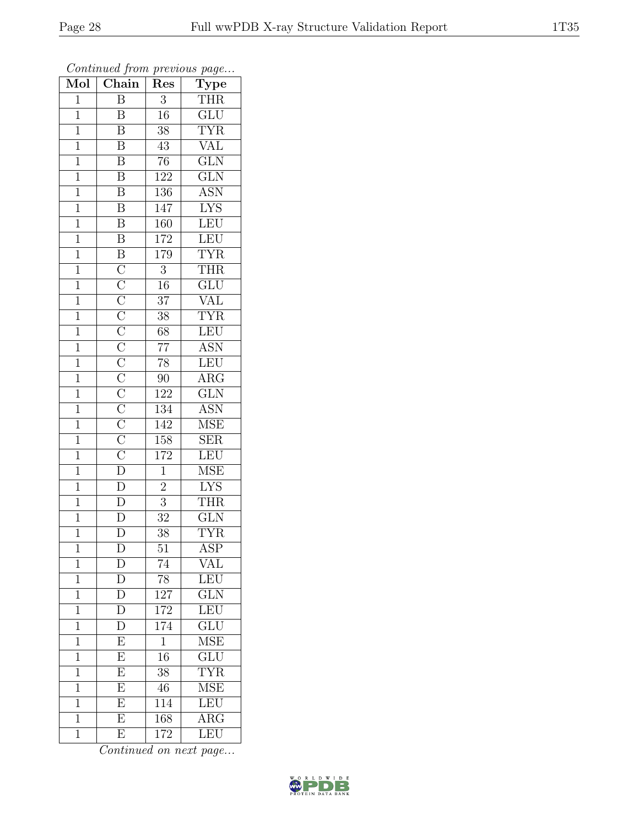| Mol            | $\frac{1}{\sqrt{2}}$<br>Chain                                                                                                                                                                      | T.<br>Res        | $\mathbf{r}$<br>$\overline{v}$<br>$\overline{\text{Type}}$ |
|----------------|----------------------------------------------------------------------------------------------------------------------------------------------------------------------------------------------------|------------------|------------------------------------------------------------|
| $\mathbf{1}$   | $\overline{B}$                                                                                                                                                                                     | $\boldsymbol{3}$ | <b>THR</b>                                                 |
| $\mathbf{1}$   | $\boldsymbol{B}$                                                                                                                                                                                   | 16               | $\overline{\text{GLU}}$                                    |
| $\overline{1}$ | $\overline{\mathbf{B}}$                                                                                                                                                                            | $\overline{38}$  | <b>TYR</b>                                                 |
| $\mathbf{1}$   | $\overline{\mathrm{B}}$                                                                                                                                                                            | 43               | <b>VAL</b>                                                 |
| $\overline{1}$ | $\overline{\mathrm{B}}$                                                                                                                                                                            | $\overline{76}$  | $\overline{\text{GLN}}$                                    |
| $\overline{1}$ | $\overline{\mathrm{B}}$                                                                                                                                                                            | 122              | $\overline{\text{GLN}}$                                    |
| $\mathbf 1$    | $\overline{\mathbf{B}}$                                                                                                                                                                            | 136              | $\overline{\text{ASN}}$                                    |
| $\mathbf{1}$   | $\overline{\mathbf{B}}$                                                                                                                                                                            | 147              | <b>LYS</b>                                                 |
| $\overline{1}$ | $\overline{\text{B}}$                                                                                                                                                                              | 160              | $\overline{\text{LEU}}$                                    |
| $\overline{1}$ | $\overline{\mathrm{B}}$                                                                                                                                                                            | 172              | LEU                                                        |
| $\mathbf{1}$   |                                                                                                                                                                                                    | 179              | <b>TYR</b>                                                 |
| $\mathbf{1}$   |                                                                                                                                                                                                    | $\overline{3}$   | <b>THR</b>                                                 |
| $\,1$          |                                                                                                                                                                                                    | 16               | GLU                                                        |
| $\mathbf{1}$   | $\overline{B}$ $\overline{C}$ $\overline{C}$ $\overline{C}$ $\overline{C}$ $\overline{C}$ $\overline{C}$ $\overline{C}$ $\overline{C}$ $\overline{C}$ $\overline{C}$ $\overline{D}$ $\overline{D}$ | $\overline{37}$  | <b>VAL</b>                                                 |
| $\overline{1}$ |                                                                                                                                                                                                    | $\overline{38}$  | <b>TYR</b>                                                 |
| $\mathbf{1}$   |                                                                                                                                                                                                    | 68               | LEU                                                        |
| $\mathbf{1}$   |                                                                                                                                                                                                    | $\overline{77}$  | <b>ASN</b>                                                 |
| $\mathbf{1}$   |                                                                                                                                                                                                    | $78\,$           | LEU                                                        |
| $\overline{1}$ |                                                                                                                                                                                                    | 90               | $\overline{\text{ARG}}$                                    |
| $\overline{1}$ |                                                                                                                                                                                                    | 122              | GLN                                                        |
| $\mathbf{1}$   |                                                                                                                                                                                                    | $\overline{134}$ | <b>ASN</b>                                                 |
| $\overline{1}$ |                                                                                                                                                                                                    | 142              | $\overline{\rm MSE}$                                       |
| $\mathbf{1}$   |                                                                                                                                                                                                    | 158              | <b>SER</b>                                                 |
| $\overline{1}$ |                                                                                                                                                                                                    | 172              | LEU                                                        |
| $\overline{1}$ |                                                                                                                                                                                                    | $\overline{1}$   | $\overline{\rm MSE}$                                       |
| $\mathbf{1}$   |                                                                                                                                                                                                    | $\overline{2}$   | <b>LYS</b>                                                 |
| $\mathbf{1}$   | $\overline{D}$                                                                                                                                                                                     | $\overline{3}$   | <b>THR</b>                                                 |
| $\overline{1}$ | $\overline{\rm D}$                                                                                                                                                                                 | $\overline{32}$  | GLN                                                        |
| $\overline{1}$ | $\overline{\rm D}$                                                                                                                                                                                 | $\overline{38}$  | $\overline{\text{TYR}}$                                    |
| 1              | D                                                                                                                                                                                                  | 51               | ASP                                                        |
| $\mathbf{1}$   | D                                                                                                                                                                                                  | 74               | VAL                                                        |
| $\mathbf{1}$   | $\overline{D}$                                                                                                                                                                                     | 78               | LEU                                                        |
| $\mathbf 1$    | $\overline{\rm D}$                                                                                                                                                                                 | 127              | GLN                                                        |
| $\overline{1}$ | $\overline{\rm D}$                                                                                                                                                                                 | 172              | LEU                                                        |
| 1              | D                                                                                                                                                                                                  | 174              | <b>GLU</b>                                                 |
| 1              | $\overline{\mathrm{E}}$                                                                                                                                                                            | $\mathbf 1$      | <b>MSE</b>                                                 |
| $\mathbf 1$    | $\overline{E}$                                                                                                                                                                                     | 16               | GLU                                                        |
| $\overline{1}$ | $\overline{\mathrm{E}}$                                                                                                                                                                            | 38               | $\overline{\text{TYR}}$                                    |
| 1              | $\overline{\mathrm{E}}$                                                                                                                                                                            | 46               | $\overline{\text{MSE}}$                                    |
| 1              | $\overline{E}$                                                                                                                                                                                     | 114              | LEU                                                        |
| $\mathbf 1$    | $\overline{\mathrm{E}}$                                                                                                                                                                            | 168              | $\overline{\rm{ARG}}$                                      |
| $\overline{1}$ | E                                                                                                                                                                                                  | 172              | LEU                                                        |

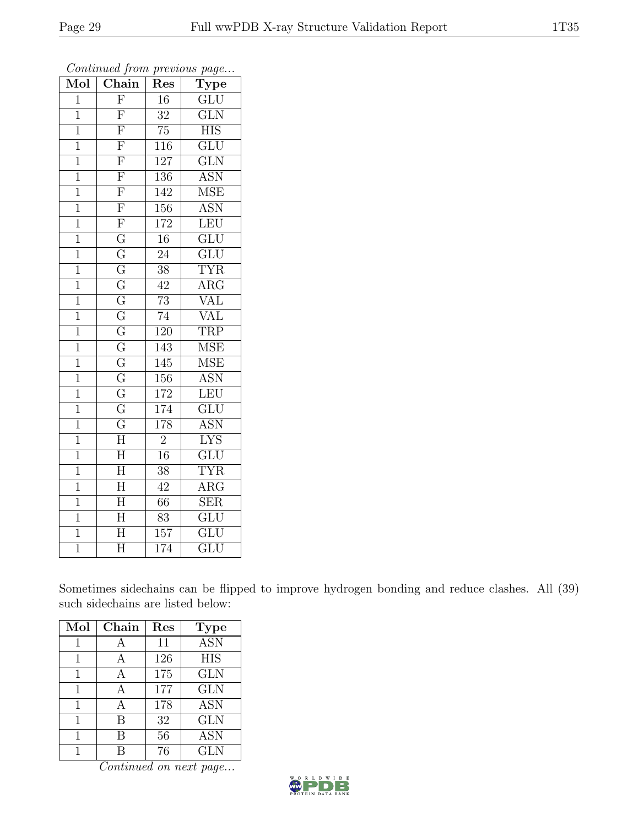| Mol            | $\overline{\text{Chain}}$ | Res              | $\overline{v}$<br>$\mathrm{\bar{Ty}pe}$ |
|----------------|---------------------------|------------------|-----------------------------------------|
| $\mathbf{1}$   | $\overline{F}$            | 16               | GLU                                     |
| $\mathbf 1$    | $\overline{\mathrm{F}}$   | 32               | $\overline{\text{GLN}}$                 |
| $\overline{1}$ | $\overline{\mathrm{F}}$   | 75               | $\overline{\text{HIS}}$                 |
| $\mathbf 1$    | $\overline{\mathrm{F}}$   | $11\overline{6}$ | GLU                                     |
| $\mathbf{1}$   | $\overline{\mathrm{F}}$   | $\overline{12}7$ | $\overline{\text{GLN}}$                 |
| $\mathbf{1}$   | $\overline{\mathrm{F}}$   | 136              | <b>ASN</b>                              |
| $\mathbf 1$    | $\overline{\mathrm{F}}$   | 142              | $\overline{\rm MSE}$                    |
| $\overline{1}$ | $\overline{\mathrm{F}}$   | 156              | $\overline{\text{ASN}}$                 |
| $\mathbf{1}$   | $\overline{\mathrm{F}}$   | 172              | LEU                                     |
| $\mathbf{1}$   | $\overline{G}$            | $\overline{16}$  | $\overline{\text{GLU}}$                 |
| $\mathbf 1$    | $\overline{G}$            | $24\,$           | $\overline{\text{GLU}}$                 |
| $\overline{1}$ | $\overline{\mathrm{G}}$   | $\overline{38}$  | <b>TYR</b>                              |
| $\overline{1}$ | $\overline{G}$            | 42               | $\rm{ARG}$                              |
| $\mathbf{1}$   | $\overline{\mathrm{G}}$   | 73               | VAL                                     |
| $\overline{1}$ | $\overline{G}$            | $\overline{74}$  | $\overline{\text{VAL}}$                 |
| $\mathbf{1}$   | $\overline{G}$            | 120              | <b>TRP</b>                              |
| $\overline{1}$ | $\overline{\mathrm{G}}$   | 143              | $\overline{\rm MSE}$                    |
| $\overline{1}$ | $\overline{G}$            | 145              | <b>MSE</b>                              |
| $\mathbf 1$    | $\overline{\mathrm{G}}$   | 156              | <b>ASN</b>                              |
| $\overline{1}$ | $\overline{G}$            | 172              | LEU                                     |
| $\mathbf{1}$   | $\overline{\mathrm{G}}$   | 174              | $\overline{\mathrm{GLU}}$               |
| $\overline{1}$ | $\overline{G}$            | 178              | <b>ASN</b>                              |
| $\overline{1}$ | $\overline{\text{H}}$     | $\overline{2}$   | $\overline{\text{LYS}}$                 |
| $\overline{1}$ | $\overline{\text{H}}$     | 16               | $\overline{\mathrm{GLU}}$               |
| $\overline{1}$ | $\overline{\text{H}}$     | 38               | <b>TYR</b>                              |
| $\mathbf 1$    | H                         | 42               | $AR\overline{G}$                        |
| $\overline{1}$ | $\overline{H}$            | 66               | $\overline{\text{SER}}$                 |
| $\overline{1}$ | $\overline{\rm H}$        | 83               | $\overline{\text{GLU}}$                 |
| $\overline{1}$ | $\overline{\text{H}}$     | $\overline{157}$ | $\overline{\mathrm{GLU}}$               |
| $\overline{1}$ | $\overline{\rm H}$        | 174              | $\overline{\mathrm{GLU}}$               |

Sometimes sidechains can be flipped to improve hydrogen bonding and reduce clashes. All (39) such sidechains are listed below:

| Mol | Chain | Res | <b>Type</b> |
|-----|-------|-----|-------------|
|     |       | 11  | <b>ASN</b>  |
| 1   |       | 126 | <b>HIS</b>  |
| 1   | A     | 175 | <b>GLN</b>  |
| 1   | А     | 177 | <b>GLN</b>  |
| 1   |       | 178 | <b>ASN</b>  |
| 1   | R     | 32  | <b>GLN</b>  |
|     | В     | 56  | <b>ASN</b>  |
|     |       | 76  | <b>GLN</b>  |

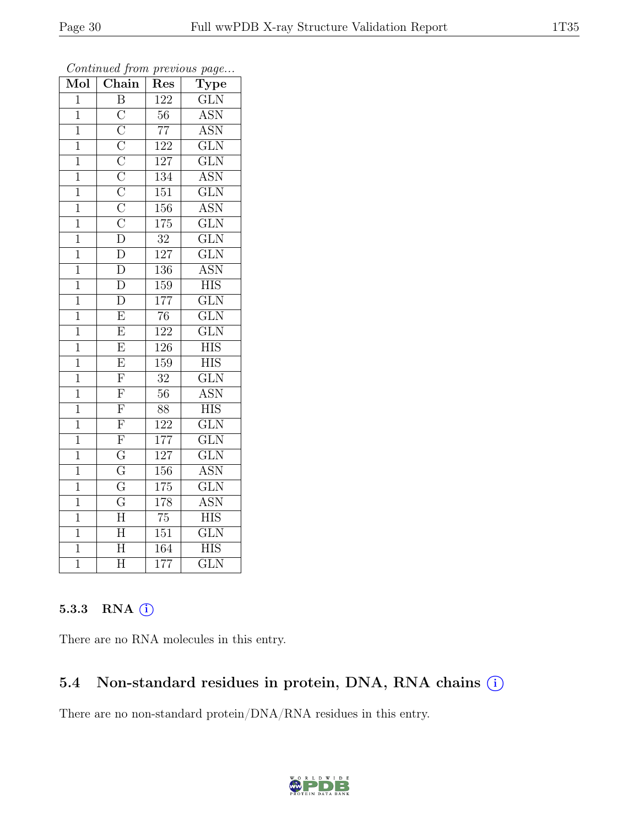| Mol            | Chain                                                                                                                                                                           | Res              | $\mathrm{Type}$         |
|----------------|---------------------------------------------------------------------------------------------------------------------------------------------------------------------------------|------------------|-------------------------|
| $\overline{1}$ | $\overline{\mathrm{B}}$                                                                                                                                                         | 122              | GLN                     |
| $\mathbf{1}$   | $\overline{C}$                                                                                                                                                                  | $56\,$           | <b>ASN</b>              |
| $\overline{1}$ | $\overline{\text{C}}$ $\overline{\text{C}}$ $\overline{\text{C}}$ $\overline{\text{C}}$ $\overline{\text{C}}$ $\overline{\text{C}}$ $\overline{\text{C}}$ $\overline{\text{D}}$ | $\overline{77}$  | <b>ASN</b>              |
| $\overline{1}$ |                                                                                                                                                                                 | $\overline{122}$ | $\overline{\text{GLN}}$ |
| $\overline{1}$ |                                                                                                                                                                                 | 127              | $\overline{\text{GLN}}$ |
| $\mathbf 1$    |                                                                                                                                                                                 | $\overline{134}$ | <b>ASN</b>              |
| $\mathbf{1}$   |                                                                                                                                                                                 | $\overline{151}$ | $\overline{\text{GLN}}$ |
| $\overline{1}$ |                                                                                                                                                                                 | 156              | <b>ASN</b>              |
| $\mathbf 1$    |                                                                                                                                                                                 | 175              | $\overline{\text{GLN}}$ |
| $\overline{1}$ |                                                                                                                                                                                 | $\overline{32}$  | $\overline{\text{GLN}}$ |
| $\mathbf{1}$   | $\overline{\rm D}$                                                                                                                                                              | 127              | $\overline{\text{GLN}}$ |
| $\overline{1}$ | $\overline{\rm D}$                                                                                                                                                              | 136              | <b>ASN</b>              |
| $\mathbf{1}$   | $\overline{D}$                                                                                                                                                                  | 159              | $\overline{HIS}$        |
| $\overline{1}$ | $\overline{\rm D}$                                                                                                                                                              | 177              | $\overline{\text{GLN}}$ |
| $\overline{1}$ | $\overline{\mathrm{E}}$                                                                                                                                                         | $\overline{76}$  | $\overline{\text{GLN}}$ |
| $\mathbf{1}$   | E                                                                                                                                                                               | 122              | $\overline{\text{GLN}}$ |
| $\overline{1}$ | $\overline{\mathrm{E}}$                                                                                                                                                         | 126              | $\overline{\rm HIS}$    |
| $\overline{1}$ | E                                                                                                                                                                               | 159              | <b>HIS</b>              |
| $\overline{1}$ | $\overline{\mathrm{F}}$                                                                                                                                                         | $\overline{32}$  | $\overline{\text{GLN}}$ |
| $\overline{1}$ | $\overline{\mathrm{F}}$                                                                                                                                                         | $\overline{56}$  | <b>ASN</b>              |
| $\overline{1}$ | $\overline{\mathrm{F}}$                                                                                                                                                         | 88               | <b>HIS</b>              |
| $\overline{1}$ | $\overline{F}$                                                                                                                                                                  | 122              | $\overline{\text{GLN}}$ |
| $\mathbf{1}$   | $\overline{\mathrm{F}}$                                                                                                                                                         | 177              | $\overline{\text{GLN}}$ |
| $\overline{1}$ | $\overline{G}$                                                                                                                                                                  | 127              | $\overline{\text{GLN}}$ |
| $\overline{1}$ | $\overline{G}$                                                                                                                                                                  | 156              | <b>ASN</b>              |
| $\mathbf{1}$   | $\overline{\mathrm{G}}$                                                                                                                                                         | 175              | $\overline{\text{GLN}}$ |
| $\overline{1}$ | $\overline{\mathrm{G}}$                                                                                                                                                         | 178              | $\overline{\text{ASN}}$ |
| $\overline{1}$ | $\overline{\text{H}}$                                                                                                                                                           | 75               | $\overline{HIS}$        |
| $\overline{1}$ | $\overline{\rm H}$                                                                                                                                                              | $\overline{151}$ | $\overline{\text{GLN}}$ |
| $\mathbf{1}$   | $\overline{\rm H}$                                                                                                                                                              | 164              | <b>HIS</b>              |
| $\overline{1}$ | $\overline{\text{H}}$                                                                                                                                                           | $\overline{177}$ | $\overline{\text{GLN}}$ |

Continued from previous page...

#### 5.3.3 RNA (i)

There are no RNA molecules in this entry.

#### 5.4 Non-standard residues in protein, DNA, RNA chains  $(i)$

There are no non-standard protein/DNA/RNA residues in this entry.

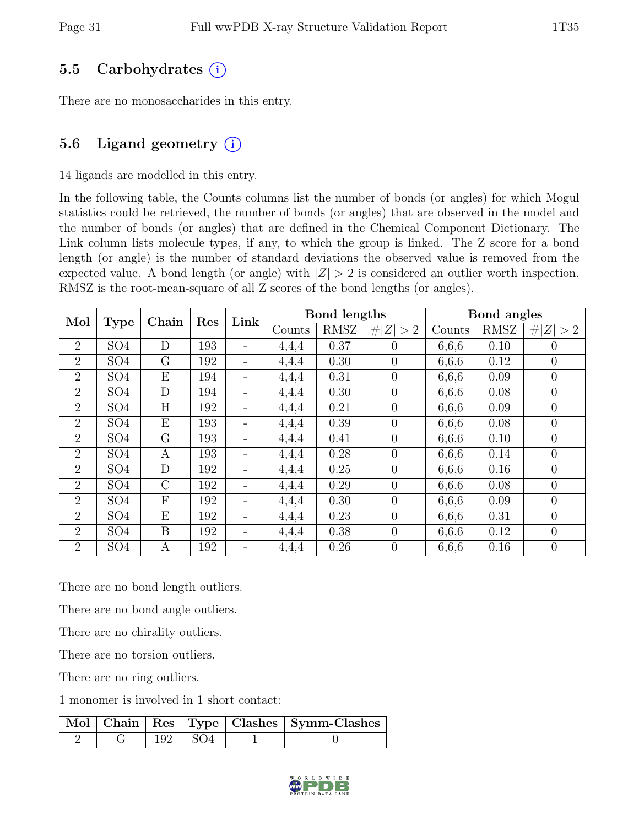### 5.5 Carbohydrates  $(i)$

There are no monosaccharides in this entry.

### 5.6 Ligand geometry  $(i)$

#### 14 ligands are modelled in this entry.

In the following table, the Counts columns list the number of bonds (or angles) for which Mogul statistics could be retrieved, the number of bonds (or angles) that are observed in the model and the number of bonds (or angles) that are defined in the Chemical Component Dictionary. The Link column lists molecule types, if any, to which the group is linked. The Z score for a bond length (or angle) is the number of standard deviations the observed value is removed from the expected value. A bond length (or angle) with  $|Z| > 2$  is considered an outlier worth inspection. RMSZ is the root-mean-square of all Z scores of the bond lengths (or angles).

|                | Chain<br>Mol<br><b>Type</b> |               | Res | Link                     |        | Bond lengths |                |        | Bond angles |                |
|----------------|-----------------------------|---------------|-----|--------------------------|--------|--------------|----------------|--------|-------------|----------------|
|                |                             |               |     |                          | Counts | RMSZ         | # $ Z  > 2$    | Counts | RMSZ        | # $ Z  > 2$    |
| $\overline{2}$ | SO <sub>4</sub>             | D             | 193 |                          | 4,4,4  | 0.37         | $\overline{0}$ | 6,6,6  | 0.10        | $\theta$       |
| $\overline{2}$ | SO <sub>4</sub>             | G             | 192 | $\overline{\phantom{a}}$ | 4,4,4  | 0.30         | $\overline{0}$ | 6,6,6  | 0.12        | $\overline{0}$ |
| $\overline{2}$ | SO <sub>4</sub>             | E             | 194 | $\overline{\phantom{a}}$ | 4,4,4  | 0.31         | $\overline{0}$ | 6,6,6  | 0.09        | $\overline{0}$ |
| $\overline{2}$ | SO <sub>4</sub>             | D             | 194 |                          | 4,4,4  | 0.30         | $\overline{0}$ | 6,6,6  | 0.08        | $\overline{0}$ |
| $\overline{2}$ | SO <sub>4</sub>             | H             | 192 | $\qquad \qquad -$        | 4,4,4  | 0.21         | $\overline{0}$ | 6,6,6  | 0.09        | $\overline{0}$ |
| $\overline{2}$ | SO <sub>4</sub>             | E             | 193 | $\overline{\phantom{a}}$ | 4,4,4  | 0.39         | $\overline{0}$ | 6,6,6  | 0.08        | $\theta$       |
| $\overline{2}$ | SO <sub>4</sub>             | G             | 193 | $\overline{\phantom{a}}$ | 4,4,4  | 0.41         | $\overline{0}$ | 6,6,6  | 0.10        | $\overline{0}$ |
| $\overline{2}$ | SO <sub>4</sub>             | A             | 193 | $\qquad \qquad -$        | 4,4,4  | 0.28         | $\overline{0}$ | 6,6,6  | 0.14        | $\theta$       |
| $\overline{2}$ | SO <sub>4</sub>             | D             | 192 | $\overline{\phantom{a}}$ | 4,4,4  | 0.25         | $\overline{0}$ | 6,6,6  | 0.16        | $\overline{0}$ |
| $\overline{2}$ | SO <sub>4</sub>             | $\mathcal{C}$ | 192 | $\overline{\phantom{a}}$ | 4,4,4  | 0.29         | $\overline{0}$ | 6,6,6  | 0.08        | $\overline{0}$ |
| $\overline{2}$ | SO <sub>4</sub>             | F             | 192 | $\overline{\phantom{a}}$ | 4,4,4  | 0.30         | $\overline{0}$ | 6,6,6  | 0.09        | $\theta$       |
| $\overline{2}$ | SO <sub>4</sub>             | E             | 192 | $\overline{\phantom{0}}$ | 4,4,4  | 0.23         | $\overline{0}$ | 6,6,6  | 0.31        | $\overline{0}$ |
| $\overline{2}$ | SO <sub>4</sub>             | B             | 192 | $\overline{\phantom{a}}$ | 4,4,4  | 0.38         | $\overline{0}$ | 6,6,6  | 0.12        | $\theta$       |
| $\overline{2}$ | SO <sub>4</sub>             | A             | 192 | $\qquad \qquad -$        | 4,4,4  | 0.26         | $\overline{0}$ | 6,6,6  | 0.16        | $\overline{0}$ |

There are no bond length outliers.

There are no bond angle outliers.

There are no chirality outliers.

There are no torsion outliers.

There are no ring outliers.

1 monomer is involved in 1 short contact:

|  |                         | Mol   Chain   Res   Type   Clashes   Symm-Clashes |
|--|-------------------------|---------------------------------------------------|
|  | $\vert$ 192 $\vert$ SO4 |                                                   |

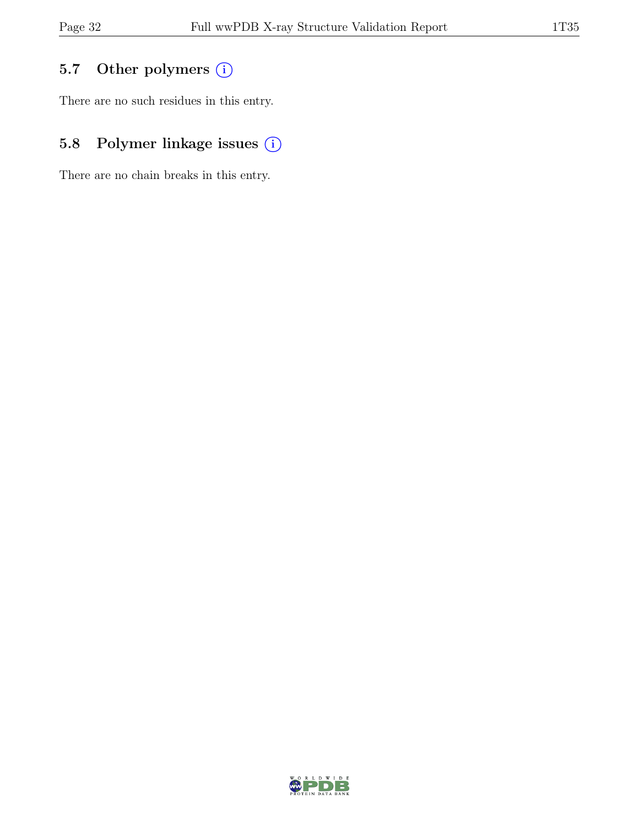## 5.7 Other polymers (i)

There are no such residues in this entry.

# 5.8 Polymer linkage issues  $(i)$

There are no chain breaks in this entry.

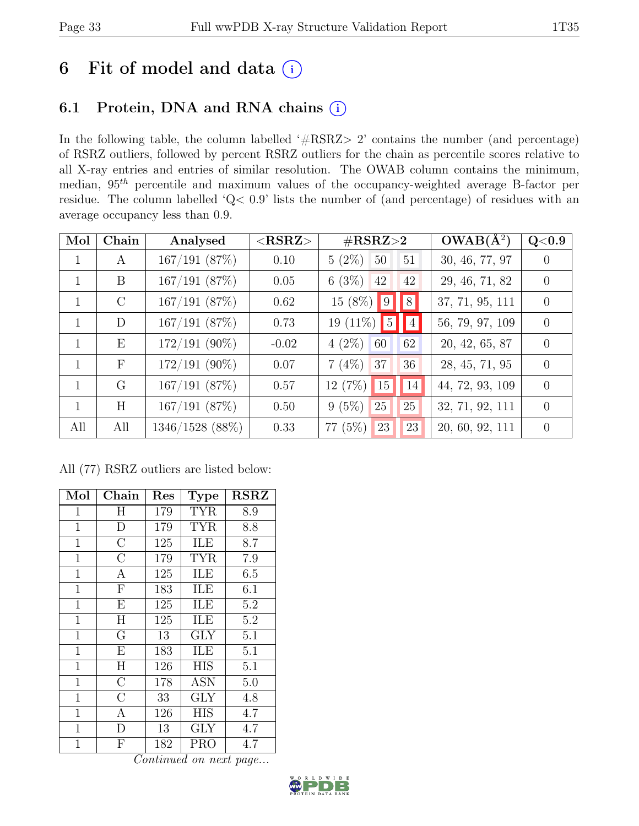# 6 Fit of model and data  $(i)$

### 6.1 Protein, DNA and RNA chains (i)

In the following table, the column labelled ' $\#\text{RSRZ}>2$ ' contains the number (and percentage) of RSRZ outliers, followed by percent RSRZ outliers for the chain as percentile scores relative to all X-ray entries and entries of similar resolution. The OWAB column contains the minimum, median,  $95<sup>th</sup>$  percentile and maximum values of the occupancy-weighted average B-factor per residue. The column labelled 'Q< 0.9' lists the number of (and percentage) of residues with an average occupancy less than 0.9.

| Mol          | Chain         | Analysed        | $<$ RSRZ $>$ | $\#\text{RSRZ}{>}2$                   | $OWAB(A^2)$     | Q <sub>0.9</sub> |
|--------------|---------------|-----------------|--------------|---------------------------------------|-----------------|------------------|
| 1            | A             | 167/191(87%)    | 0.10         | $5(2\%)$<br>51<br>50                  | 30, 46, 77, 97  | $\left( \right)$ |
| 1            | B             | 167/191(87%)    | 0.05         | 6(3%)<br>42<br>42                     | 29, 46, 71, 82  | $\left( \right)$ |
| 1            | $\mathcal{C}$ | 167/191(87%)    | 0.62         | $\vert 8 \vert$<br>$15(8\%)$ 9        | 37, 71, 95, 111 | $\Omega$         |
| $\mathbf{1}$ | D             | 167/191(87%)    | 0.73         | 19 $(11\%)$ 5<br>$\blacksquare$       | 56, 79, 97, 109 | $\theta$         |
| $\mathbf{1}$ | E             | $172/191$ (90%) | $-0.02$      | $4(2\%)$<br>62<br>60                  | 20, 42, 65, 87  | $\Omega$         |
| $\mathbf{1}$ | $\mathbf{F}$  | $172/191$ (90%) | 0.07         | $7(4\%)$<br>37<br>36                  | 28, 45, 71, 95  | $\Omega$         |
| $\mathbf{1}$ | G             | 167/191(87%)    | 0.57         | 12(7%)<br>$\vert$ 15<br><sup>14</sup> | 44, 72, 93, 109 | $\Omega$         |
| $\mathbf{1}$ | H             | 167/191(87%)    | 0.50         | 25<br>$9(5\%)$<br>25                  | 32, 71, 92, 111 | $\Omega$         |
| All          | All           | 1346/1528 (88%) | 0.33         | $77(5\%)$<br>23<br>23                 | 20, 60, 92, 111 | $\theta$         |

All (77) RSRZ outliers are listed below:

| Mol          | Chain                   | Res        | <b>Type</b>                | <b>RSRZ</b>      |
|--------------|-------------------------|------------|----------------------------|------------------|
| 1            | Η                       | 179        | <b>TYR</b>                 | 8.9              |
| 1            | D                       | 179        | <b>TYR</b>                 | 8.8              |
| $\mathbf{1}$ | $\overline{\rm C}$      | 125        | ILE                        | 8.7              |
| $\mathbf{1}$ | $\overline{C}$          | 179        | TYR                        | 7.9              |
| $\mathbf{1}$ | $\overline{\rm A}$      | 125        | ILE                        | 6.5              |
| $\mathbf{1}$ | ${\bf F}$               | 183        | ILE                        | 6.1              |
| $\mathbf{1}$ | $\overline{\mathrm{E}}$ | 125        | ILE                        | 5.2              |
| $\mathbf 1$  | H                       | 125        | ILE                        | 5.2              |
| $\mathbf{1}$ | G                       | 13         | <b>GLY</b>                 | 5.1              |
| $\mathbf{1}$ | $\overline{E}$          | 183        | ILE                        | $\overline{5.1}$ |
| $\mathbf{1}$ | H                       | 126        | <b>HIS</b>                 | 5.1              |
| $\mathbf{1}$ | $\overline{\rm C}$      | <b>178</b> | $\overline{\rm{A}}\rm{SN}$ | 5.0              |
| $\mathbf{1}$ | $\overline{C}$          | 33         | GLY                        | 4.8              |
| $\mathbf 1$  | $\overline{A}$          | 126        | <b>HIS</b>                 | 4.7              |
| 1            | D                       | 13         | GLY                        | 4.7              |
| 1            | F                       | 182        | <b>PRO</b>                 | 4.7              |
|              |                         |            | Continued on next page     |                  |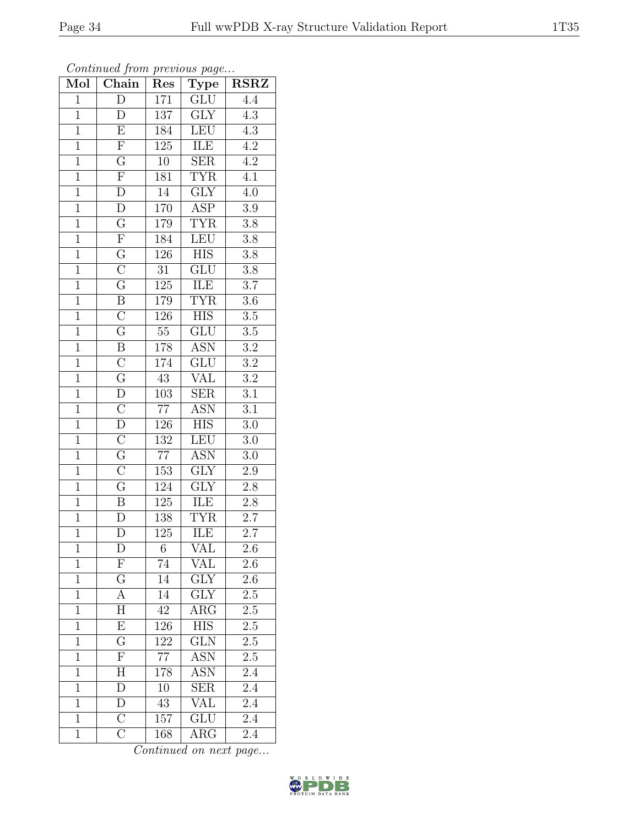| Mol            | Chain                               | Res              | <b>Type</b>             | $\operatorname{RSRZ}$ |
|----------------|-------------------------------------|------------------|-------------------------|-----------------------|
| $\mathbf{1}$   | $\overline{\text{D}}$               | 171              | $\overline{\text{GLU}}$ | $\overline{4.4}$      |
| $\mathbf{1}$   | D                                   | 137              | <b>GLY</b>              | $4.3\,$               |
| $\overline{1}$ | $\overline{\mathrm{E}}$             | 184              | LEU                     | $\overline{4.3}$      |
| $\overline{1}$ | $\overline{F}$                      | 125              | ILE                     | $\overline{4.2}$      |
| $\overline{1}$ |                                     | $\overline{10}$  | $\overline{\text{SER}}$ | $\overline{4.2}$      |
| $\overline{1}$ | $\frac{\overline{G}}{\overline{F}}$ | 181              | <b>TYR</b>              | 4.1                   |
| $\overline{1}$ | $\overline{\rm D}$                  | $\overline{14}$  | $\overline{\text{GLY}}$ | $\overline{4.0}$      |
| $\overline{1}$ | $\overline{D}$                      | 170              | $\overline{\text{ASP}}$ | $\overline{3.9}$      |
| $\overline{1}$ | $\overline{\mathrm{G}}$             | 179              | <b>TYR</b>              | $\overline{3.8}$      |
| $\overline{1}$ | $\overline{\mathrm{F}}$             | 184              | LEU                     | $\overline{3.8}$      |
| $\overline{1}$ | $\overline{G}$                      | 126              | $\overline{HIS}$        | $3.8\,$               |
| $\overline{1}$ | $\overline{\rm C}$                  | $\overline{31}$  | $\overline{\text{GLU}}$ | $3.8\,$               |
| $\overline{1}$ | $\overline{G}$                      | 125              | ILE                     | $\overline{3.7}$      |
| $\overline{1}$ | $\overline{B}$                      | 179              | <b>TYR</b>              | $3.6\,$               |
| $\overline{1}$ | $\overline{\rm C}$                  | $\overline{126}$ | <b>HIS</b>              | $\overline{3.5}$      |
| $\mathbf{1}$   | $\overline{\mathrm{G}}$             | $55\,$           | GLU                     | $3.5\,$               |
| $\overline{1}$ | $\overline{B}$                      | 178              | <b>ASN</b>              | $\overline{3.2}$      |
| $\mathbf{1}$   | $\overline{C}$                      | 174              | $\overline{\text{GLU}}$ | $3.2\,$               |
| $\overline{1}$ | $\overline{\mathrm{G}}$             | $\overline{43}$  | $\overline{\text{VAL}}$ | $\overline{3.2}$      |
| $\overline{1}$ | $\overline{D}$                      | $\overline{103}$ | $\overline{\text{SER}}$ | $\overline{3.1}$      |
| $\mathbf{1}$   | $\overline{\mathrm{C}}$             | $77\,$           | ASN                     | 3.1                   |
| $\overline{1}$ | $\overline{D}$                      | <u>126</u>       | $\overline{HIS}$        | $\overline{3.0}$      |
| $\overline{1}$ | $\overline{C}$                      | 132              | $\overline{\text{LEU}}$ | $3.0\,$               |
| $\overline{1}$ | $\overline{\mathrm{G}}$             | $\overline{77}$  | $\overline{\text{ASN}}$ | $\overline{3.0}$      |
| $\overline{1}$ | $\overline{\rm C}$                  | 153              | $\overline{\text{GLY}}$ | $2.9\,$               |
| $\overline{1}$ | $\overline{G}$                      | 124              | $\overline{GLY}$        | $2.8\,$               |
| $\overline{1}$ | $\overline{B}$                      | 125              | ILE                     | $2.8\,$               |
| $\overline{1}$ | D                                   | 138              | <b>TYR</b>              | 2.7                   |
| $\overline{1}$ | D                                   | 125              | ILE                     | $\overline{2.7}$      |
| $\mathbf 1$    | $\overline{\mathrm{D}}$             | $\sqrt{6}$       | VAL                     | 2.6                   |
| $\mathbf{1}$   | $\boldsymbol{\mathrm{F}}$           | 74               | VAL                     | 2.6                   |
| $\mathbf{1}$   | $\overline{G}$                      | 14               | $\overline{\text{GLY}}$ | 2.6                   |
| $\mathbf{1}$   | A                                   | 14               | $\operatorname{GLY}$    | 2.5                   |
| $\mathbf{1}$   | $\overline{\rm H}$                  | 42               | $\overline{\rm{ARG}}$   | 2.5                   |
| $\mathbf{1}$   | $\boldsymbol{\mathrm{E}}$           | 126              | <b>HIS</b>              | 2.5                   |
| $\mathbf{1}$   | $\overline{\mathrm{G}}$             | 122              | $\overline{\text{GLN}}$ | $2.5\,$               |
| $\mathbf{1}$   | $\overline{F}$                      | $77\,$           | <b>ASN</b>              | 2.5                   |
| $\mathbf{1}$   | $\boldsymbol{\mathrm{H}}$           | 178              | <b>ASN</b>              | 2.4                   |
| $\overline{1}$ | $\overline{\rm D}$                  | 10               | $\overline{\text{SER}}$ | $\overline{2.4}$      |
| $\mathbf{1}$   | ${\rm D}$                           | 43               | VAL                     | $2.4\,$               |
| $\mathbf{1}$   | $\overline{\rm C}$                  | 157              | $\overline{\text{GLU}}$ | 2.4                   |
| $\mathbf{1}$   | $\overline{\rm C}$                  | 168              | $\rm{ARG}$              | 2.4                   |

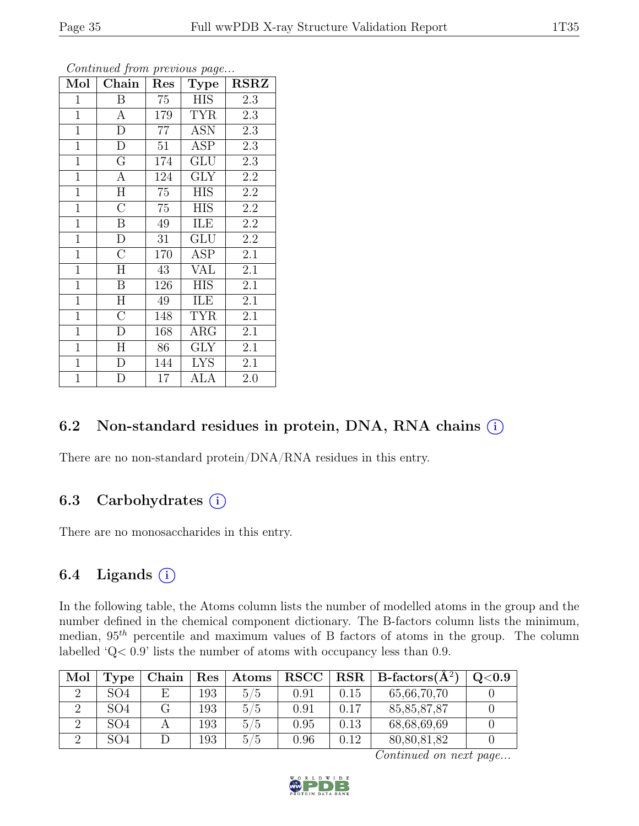| Mol            | Chain              | Res | Type       | <b>RSRZ</b>      |
|----------------|--------------------|-----|------------|------------------|
| $\mathbf{1}$   | B                  | 75  | <b>HIS</b> | 2.3              |
| $\mathbf{1}$   | $\mathbf{A}$       | 179 | <b>TYR</b> | 2.3              |
| $\overline{1}$ | $\overline{\rm D}$ | 77  | <b>ASN</b> | 2.3              |
| $\mathbf{1}$   | D                  | 51  | <b>ASP</b> | 2.3              |
| $\overline{1}$ | $\overline{G}$     | 174 | GLU        | 2.3              |
| $\overline{1}$ | $\mathbf{A}$       | 124 | <b>GLY</b> | 2.2              |
| $\mathbf{1}$   | H                  | 75  | <b>HIS</b> | $2.2\,$          |
| $\overline{1}$ | $\overline{\rm C}$ | 75  | HIS        | 2.2              |
| $\overline{1}$ | $\boldsymbol{B}$   | 49  | ILE        | $2.2\,$          |
| $\overline{1}$ | $\overline{\rm D}$ | 31  | GLU        | $\overline{2.2}$ |
| $\mathbf{1}$   | $\overline{C}$     | 170 | <b>ASP</b> | 2.1              |
| $\overline{1}$ | H                  | 43  | <b>VAL</b> | 2.1              |
| $\overline{1}$ | B                  | 126 | <b>HIS</b> | 2.1              |
| $\mathbf{1}$   | H                  | 49  | ILE        | 2.1              |
| $\overline{1}$ | $\overline{C}$     | 148 | <b>TYR</b> | 2.1              |
| $\overline{1}$ | $\overline{D}$     | 168 | $\rm{ARG}$ | 2.1              |
| $\mathbf{1}$   | H                  | 86  | <b>GLY</b> | 2.1              |
| $\mathbf{1}$   | $\mathbf{D}$       | 144 | <b>LYS</b> | 2.1              |
| $\mathbf{1}$   | D                  | 17  | ALA        | 2.0              |

### 6.2 Non-standard residues in protein, DNA, RNA chains  $(i)$

There are no non-standard protein/DNA/RNA residues in this entry.

### 6.3 Carbohydrates  $(i)$

There are no monosaccharides in this entry.

### 6.4 Ligands  $(i)$

In the following table, the Atoms column lists the number of modelled atoms in the group and the number defined in the chemical component dictionary. The B-factors column lists the minimum, median,  $95<sup>th</sup>$  percentile and maximum values of B factors of atoms in the group. The column labelled 'Q< 0.9' lists the number of atoms with occupancy less than 0.9.

| Mol | Type            | Chain | $\operatorname{Res}% \left( \mathcal{N}\right) \equiv\operatorname{Res}(\mathcal{N}_{0})\cap\mathcal{N}_{1}$ | Atoms | ${\bf RSCC}$ |      | $RSR   B-factors(A^2)$ | Q <sub>0.9</sub> |
|-----|-----------------|-------|--------------------------------------------------------------------------------------------------------------|-------|--------------|------|------------------------|------------------|
|     | SO <sub>4</sub> | E.    | 193                                                                                                          | 5/5   | 0.91         | 0.15 | 65,66,70,70            |                  |
|     | SO <sub>4</sub> |       | 193                                                                                                          | 5/5   | 0.91         | 0.17 | 85, 85, 87, 87         |                  |
|     | SO <sub>4</sub> |       | 193                                                                                                          | 5/5   | 0.95         | 0.13 | 68,68,69,69            |                  |
|     | SO <sub>4</sub> |       | 193                                                                                                          | 5/5   | 0.96         | 0.12 | 80,80,81,82            |                  |